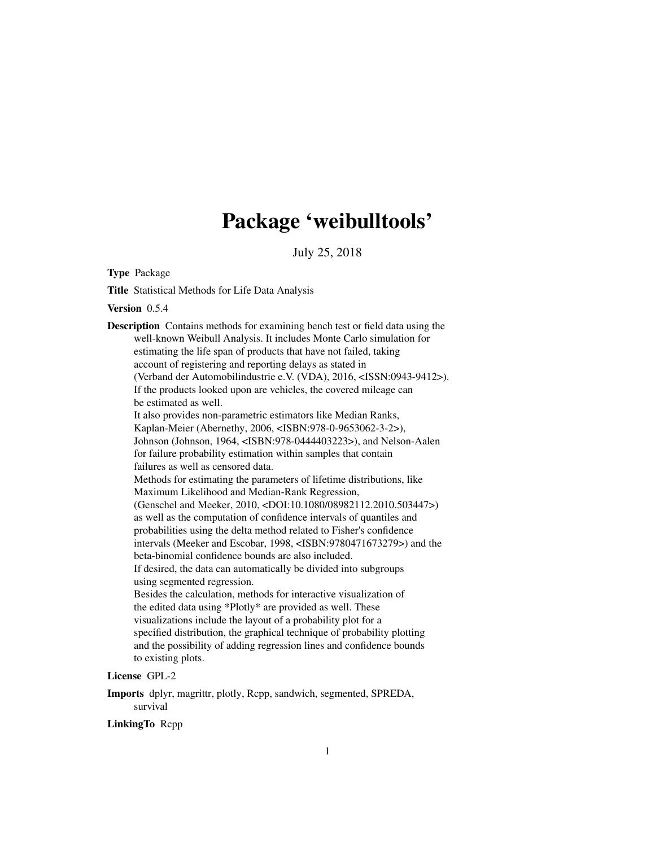# Package 'weibulltools'

July 25, 2018

<span id="page-0-0"></span>Type Package

Title Statistical Methods for Life Data Analysis

Version 0.5.4

Description Contains methods for examining bench test or field data using the well-known Weibull Analysis. It includes Monte Carlo simulation for estimating the life span of products that have not failed, taking account of registering and reporting delays as stated in (Verband der Automobilindustrie e.V. (VDA), 2016, <ISSN:0943-9412>). If the products looked upon are vehicles, the covered mileage can be estimated as well. It also provides non-parametric estimators like Median Ranks, Kaplan-Meier (Abernethy, 2006, <ISBN:978-0-9653062-3-2>), Johnson (Johnson, 1964, <ISBN:978-0444403223>), and Nelson-Aalen for failure probability estimation within samples that contain failures as well as censored data. Methods for estimating the parameters of lifetime distributions, like Maximum Likelihood and Median-Rank Regression, (Genschel and Meeker, 2010, <DOI:10.1080/08982112.2010.503447>) as well as the computation of confidence intervals of quantiles and probabilities using the delta method related to Fisher's confidence intervals (Meeker and Escobar, 1998, <ISBN:9780471673279>) and the beta-binomial confidence bounds are also included. If desired, the data can automatically be divided into subgroups using segmented regression. Besides the calculation, methods for interactive visualization of the edited data using \*Plotly\* are provided as well. These visualizations include the layout of a probability plot for a specified distribution, the graphical technique of probability plotting and the possibility of adding regression lines and confidence bounds to existing plots.

# License GPL-2

Imports dplyr, magrittr, plotly, Rcpp, sandwich, segmented, SPREDA, survival

LinkingTo Rcpp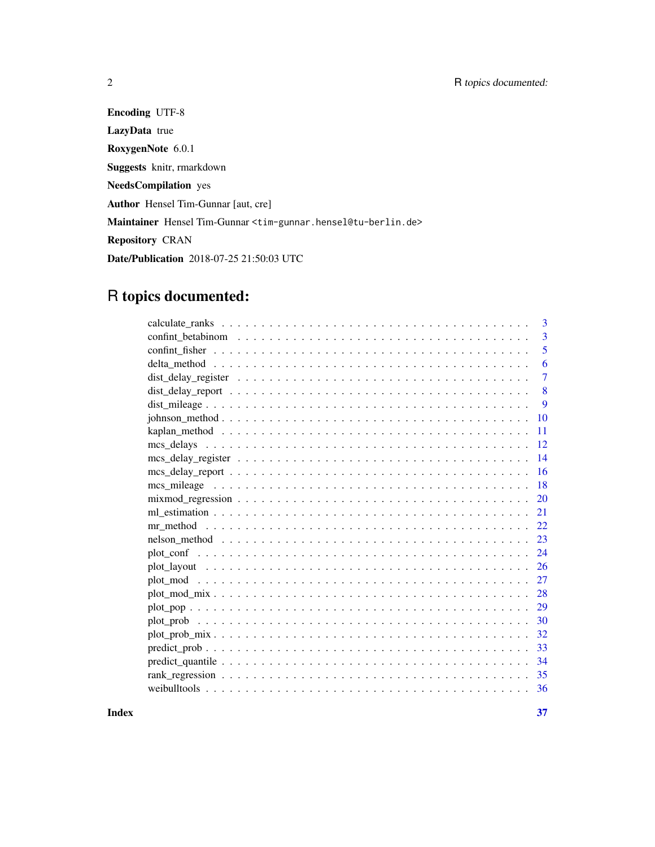Encoding UTF-8 LazyData true RoxygenNote 6.0.1 Suggests knitr, rmarkdown NeedsCompilation yes Author Hensel Tim-Gunnar [aut, cre] Maintainer Hensel Tim-Gunnar <tim-gunnar.hensel@tu-berlin.de> Repository CRAN Date/Publication 2018-07-25 21:50:03 UTC

# R topics documented:

| 3                                                                                                                    |
|----------------------------------------------------------------------------------------------------------------------|
| 3                                                                                                                    |
| 5                                                                                                                    |
| 6                                                                                                                    |
| $\overline{7}$                                                                                                       |
| 8                                                                                                                    |
| 9                                                                                                                    |
| 10                                                                                                                   |
| 11                                                                                                                   |
| 12                                                                                                                   |
| 14                                                                                                                   |
| 16                                                                                                                   |
| 18                                                                                                                   |
| $mixmod\_regression \dots \dots \dots \dots \dots \dots \dots \dots \dots \dots \dots \dots \dots \dots \dots$<br>20 |
| 21                                                                                                                   |
| 22                                                                                                                   |
| 23                                                                                                                   |
| 24                                                                                                                   |
| 26                                                                                                                   |
| 27                                                                                                                   |
| 28                                                                                                                   |
| 29                                                                                                                   |
| 30                                                                                                                   |
| 32                                                                                                                   |
| 33                                                                                                                   |
| 34                                                                                                                   |
| 35                                                                                                                   |
| 36                                                                                                                   |
|                                                                                                                      |

**Index** [37](#page-36-0)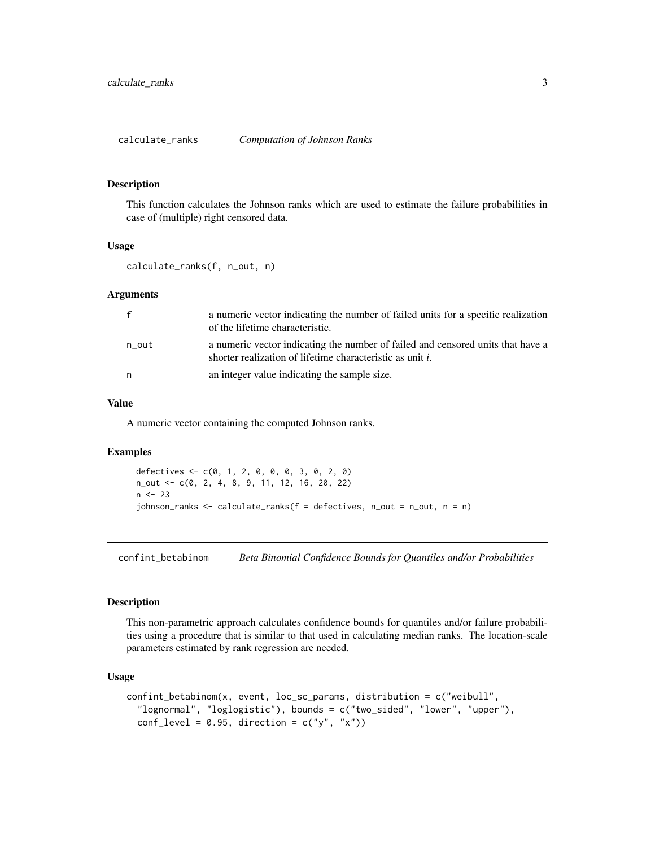<span id="page-2-0"></span>calculate\_ranks *Computation of Johnson Ranks*

#### Description

This function calculates the Johnson ranks which are used to estimate the failure probabilities in case of (multiple) right censored data.

# Usage

calculate\_ranks(f, n\_out, n)

#### Arguments

| $\mathbf{f}$ | a numeric vector indicating the number of failed units for a specific realization<br>of the lifetime characteristic.                         |
|--------------|----------------------------------------------------------------------------------------------------------------------------------------------|
| n_out        | a numeric vector indicating the number of failed and censored units that have a<br>shorter realization of lifetime characteristic as unit i. |
| n            | an integer value indicating the sample size.                                                                                                 |

#### Value

A numeric vector containing the computed Johnson ranks.

# Examples

```
defectives <- c(0, 1, 2, 0, 0, 0, 3, 0, 2, 0)
n_out <- c(0, 2, 4, 8, 9, 11, 12, 16, 20, 22)
n < -23johnson_ranks <- calculate_ranks(f = defectives, n_out = n_out, n = n)
```
<span id="page-2-1"></span>confint\_betabinom *Beta Binomial Confidence Bounds for Quantiles and/or Probabilities*

#### Description

This non-parametric approach calculates confidence bounds for quantiles and/or failure probabilities using a procedure that is similar to that used in calculating median ranks. The location-scale parameters estimated by rank regression are needed.

#### Usage

```
confint_betabinom(x, event, loc_sc_params, distribution = c("weibull",
  "lognormal", "loglogistic"), bounds = c("two_sided", "lower", "upper"),
  conf\_level = 0.95, direction = c("y", "x")
```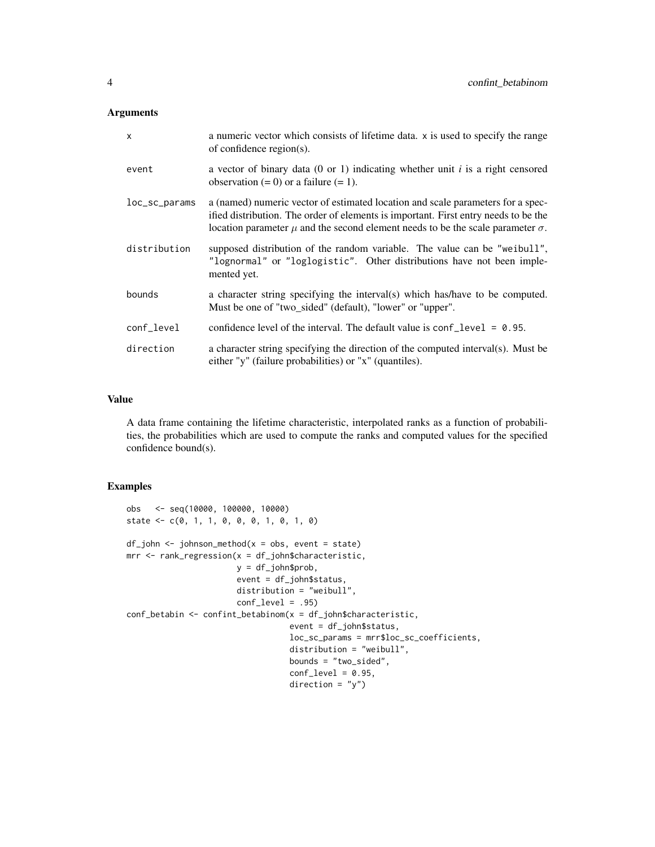#### Arguments

| $\mathsf{x}$  | a numeric vector which consists of lifetime data. x is used to specify the range<br>of confidence region(s).                                                                                                                                                         |
|---------------|----------------------------------------------------------------------------------------------------------------------------------------------------------------------------------------------------------------------------------------------------------------------|
| event         | a vector of binary data (0 or 1) indicating whether unit $i$ is a right censored<br>observation $(= 0)$ or a failure $(= 1)$ .                                                                                                                                       |
| loc_sc_params | a (named) numeric vector of estimated location and scale parameters for a spec-<br>ified distribution. The order of elements is important. First entry needs to be the<br>location parameter $\mu$ and the second element needs to be the scale parameter $\sigma$ . |
| distribution  | supposed distribution of the random variable. The value can be "weibull",<br>"lognormal" or "loglogistic". Other distributions have not been imple-<br>mented yet.                                                                                                   |
| bounds        | a character string specifying the interval(s) which has/have to be computed.<br>Must be one of "two_sided" (default), "lower" or "upper".                                                                                                                            |
| conf_level    | confidence level of the interval. The default value is $\text{conf\_level} = 0.95$ .                                                                                                                                                                                 |
| direction     | a character string specifying the direction of the computed interval(s). Must be<br>either "y" (failure probabilities) or "x" (quantiles).                                                                                                                           |

# Value

A data frame containing the lifetime characteristic, interpolated ranks as a function of probabilities, the probabilities which are used to compute the ranks and computed values for the specified confidence bound(s).

```
obs <- seq(10000, 100000, 10000)
state <- c(0, 1, 1, 0, 0, 0, 1, 0, 1, 0)
df_john < -johnson_method(x = obs, event = state)mrr < - rank_regression(x = df_john$characteristic,
                       y = df_john$prob,
                       event = df_john$status,
                       distribution = "weibull",
                       conf\_level = .95)conf_betabin <- confint_betabinom(x = df_john$characteristic,
                                  event = df_john$status,
                                  loc_sc_params = mrr$loc_sc_coefficients,
                                  distribution = "weibull",
                                  bounds = "two_sided",
                                  conf\_level = 0.95,
                                  direction = "y")
```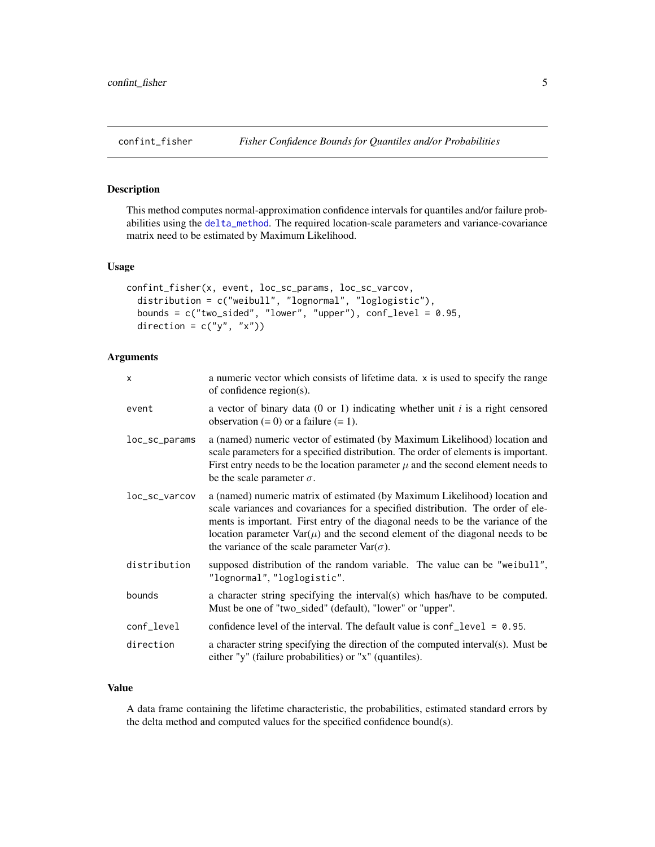# <span id="page-4-1"></span><span id="page-4-0"></span>Description

This method computes normal-approximation confidence intervals for quantiles and/or failure probabilities using the [delta\\_method](#page-5-1). The required location-scale parameters and variance-covariance matrix need to be estimated by Maximum Likelihood.

#### Usage

```
confint_fisher(x, event, loc_sc_params, loc_sc_varcov,
  distribution = c("weibull", "lognormal", "loglogistic"),
  bounds = c("two\_sided", "lower", "upper"), conf\_level = 0.95,direction = c("y", "x")
```
# Arguments

| X             | a numeric vector which consists of lifetime data. x is used to specify the range<br>of confidence region(s).                                                                                                                                                                                                                                                                                       |
|---------------|----------------------------------------------------------------------------------------------------------------------------------------------------------------------------------------------------------------------------------------------------------------------------------------------------------------------------------------------------------------------------------------------------|
| event         | a vector of binary data (0 or 1) indicating whether unit i is a right censored<br>observation $(= 0)$ or a failure $(= 1)$ .                                                                                                                                                                                                                                                                       |
| loc_sc_params | a (named) numeric vector of estimated (by Maximum Likelihood) location and<br>scale parameters for a specified distribution. The order of elements is important.<br>First entry needs to be the location parameter $\mu$ and the second element needs to<br>be the scale parameter $\sigma$ .                                                                                                      |
| loc_sc_varcov | a (named) numeric matrix of estimated (by Maximum Likelihood) location and<br>scale variances and covariances for a specified distribution. The order of ele-<br>ments is important. First entry of the diagonal needs to be the variance of the<br>location parameter $\text{Var}(\mu)$ and the second element of the diagonal needs to be<br>the variance of the scale parameter $Var(\sigma)$ . |
| distribution  | supposed distribution of the random variable. The value can be "weibull",<br>"lognormal", "loglogistic".                                                                                                                                                                                                                                                                                           |
| bounds        | a character string specifying the interval(s) which has/have to be computed.<br>Must be one of "two_sided" (default), "lower" or "upper".                                                                                                                                                                                                                                                          |
| conf_level    | confidence level of the interval. The default value is $conf\_level = 0.95$ .                                                                                                                                                                                                                                                                                                                      |
| direction     | a character string specifying the direction of the computed interval(s). Must be<br>either "y" (failure probabilities) or "x" (quantiles).                                                                                                                                                                                                                                                         |

# Value

A data frame containing the lifetime characteristic, the probabilities, estimated standard errors by the delta method and computed values for the specified confidence bound(s).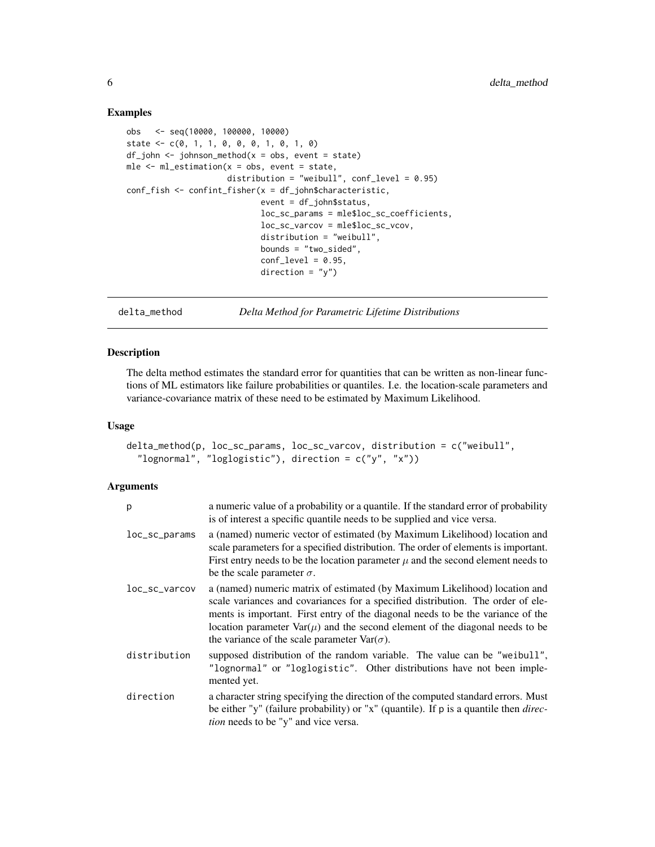#### Examples

```
obs <- seq(10000, 100000, 10000)
state \leq c(0, 1, 1, 0, 0, 0, 1, 0, 1, 0)
df_john < -johnson_method(x = obs, event = state)mle \leq ml_estimation(x = obs, event = state,
                     distribution = "weibull", conf\_level = 0.95)
conf_fish <- confint_fisher(x = df_john$characteristic,
                            event = df_john$status,
                            loc_sc_params = mle$loc_sc_coefficients,
                            loc_sc_varcov = mle$loc_sc_vcov,
                            distribution = "weibull",
                            bounds = "two_sided",
                            conf\_level = 0.95,
                            direction = "y")
```
delta\_method *Delta Method for Parametric Lifetime Distributions*

# Description

The delta method estimates the standard error for quantities that can be written as non-linear functions of ML estimators like failure probabilities or quantiles. I.e. the location-scale parameters and variance-covariance matrix of these need to be estimated by Maximum Likelihood.

#### Usage

```
delta_method(p, loc_sc_params, loc_sc_varcov, distribution = c("weibull",
  "lognormal", "loglogistic"), direction = c("y", "x"))
```
#### Arguments

| p                 | a numeric value of a probability or a quantile. If the standard error of probability<br>is of interest a specific quantile needs to be supplied and vice versa.                                                                                                                                                                                                                                           |
|-------------------|-----------------------------------------------------------------------------------------------------------------------------------------------------------------------------------------------------------------------------------------------------------------------------------------------------------------------------------------------------------------------------------------------------------|
| loc_sc_params     | a (named) numeric vector of estimated (by Maximum Likelihood) location and<br>scale parameters for a specified distribution. The order of elements is important.<br>First entry needs to be the location parameter $\mu$ and the second element needs to<br>be the scale parameter $\sigma$ .                                                                                                             |
| $loc\_sc\_varcov$ | a (named) numeric matrix of estimated (by Maximum Likelihood) location and<br>scale variances and covariances for a specified distribution. The order of ele-<br>ments is important. First entry of the diagonal needs to be the variance of the<br>location parameter $\text{Var}(\mu)$ and the second element of the diagonal needs to be<br>the variance of the scale parameter $\text{Var}(\sigma)$ . |
| distribution      | supposed distribution of the random variable. The value can be "weibull",<br>"lognormal" or "loglogistic". Other distributions have not been imple-<br>mented yet.                                                                                                                                                                                                                                        |
| direction         | a character string specifying the direction of the computed standard errors. Must<br>be either "y" (failure probability) or "x" (quantile). If $p$ is a quantile then <i>direc</i> -<br>tion needs to be "y" and vice versa.                                                                                                                                                                              |

<span id="page-5-0"></span>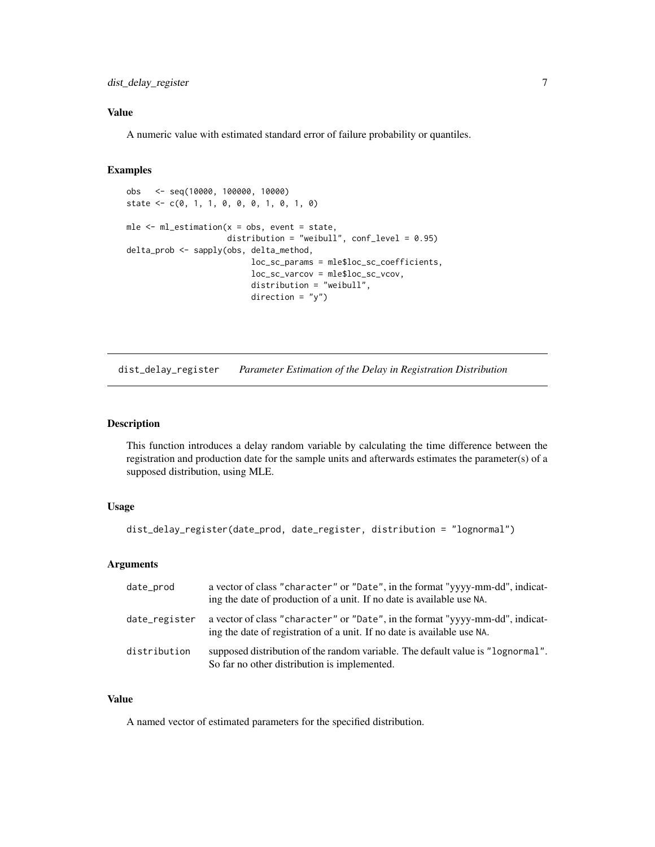# <span id="page-6-0"></span>Value

A numeric value with estimated standard error of failure probability or quantiles.

# Examples

```
obs <- seq(10000, 100000, 10000)
state \leq c(0, 1, 1, 0, 0, 0, 1, 0, 1, 0)mle <- ml_estimation(x = obs, event = state,
                     distribution = "weibull", conf_level = 0.95)
delta_prob <- sapply(obs, delta_method,
                          loc_sc_params = mle$loc_sc_coefficients,
                          loc_sc_varcov = mle$loc_sc_vcov,
                          distribution = "weibull",
                          direction = "y")
```
<span id="page-6-1"></span>dist\_delay\_register *Parameter Estimation of the Delay in Registration Distribution*

# Description

This function introduces a delay random variable by calculating the time difference between the registration and production date for the sample units and afterwards estimates the parameter(s) of a supposed distribution, using MLE.

# Usage

dist\_delay\_register(date\_prod, date\_register, distribution = "lognormal")

# Arguments

| date_prod     | a vector of class "character" or "Date", in the format "yyyy-mm-dd", indicat-<br>ing the date of production of a unit. If no date is available use NA.   |
|---------------|----------------------------------------------------------------------------------------------------------------------------------------------------------|
| date_register | a vector of class "character" or "Date", in the format "yyyy-mm-dd", indicat-<br>ing the date of registration of a unit. If no date is available use NA. |
| distribution  | supposed distribution of the random variable. The default value is "lognormal".<br>So far no other distribution is implemented.                          |

# Value

A named vector of estimated parameters for the specified distribution.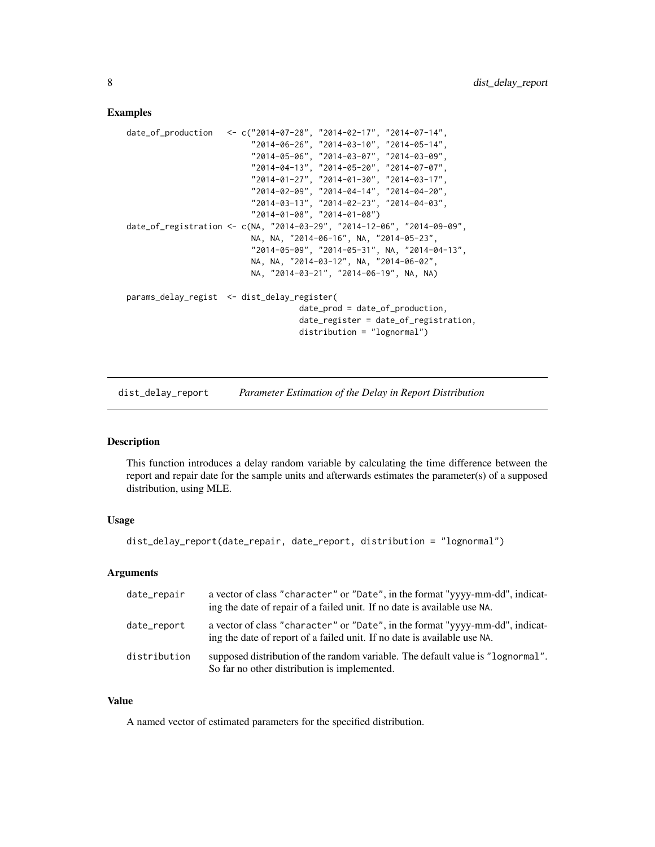#### Examples

```
date_of_production <- c("2014-07-28", "2014-02-17", "2014-07-14",
                          "2014-06-26", "2014-03-10", "2014-05-14",
                          "2014-05-06", "2014-03-07", "2014-03-09",
                          "2014-04-13", "2014-05-20", "2014-07-07",
                          "2014-01-27", "2014-01-30", "2014-03-17",
                          "2014-02-09", "2014-04-14", "2014-04-20",
                          "2014-03-13", "2014-02-23", "2014-04-03",
                          "2014-01-08", "2014-01-08")
date_of_registration <- c(NA, "2014-03-29", "2014-12-06", "2014-09-09",
                          NA, NA, "2014-06-16", NA, "2014-05-23",
                          "2014-05-09", "2014-05-31", NA, "2014-04-13",
                          NA, NA, "2014-03-12", NA, "2014-06-02",
                          NA, "2014-03-21", "2014-06-19", NA, NA)
params_delay_regist <- dist_delay_register(
                                    date_prod = date_of_production,
                                    date_register = date_of_registration,
                                    distribution = "lognormal")
```
<span id="page-7-1"></span>dist\_delay\_report *Parameter Estimation of the Delay in Report Distribution*

# Description

This function introduces a delay random variable by calculating the time difference between the report and repair date for the sample units and afterwards estimates the parameter(s) of a supposed distribution, using MLE.

# Usage

```
dist_delay_report(date_repair, date_report, distribution = "lognormal")
```
#### Arguments

| date_repair  | a vector of class "character" or "Date", in the format "yyyy-mm-dd", indicat-<br>ing the date of repair of a failed unit. If no date is available use NA. |
|--------------|-----------------------------------------------------------------------------------------------------------------------------------------------------------|
| date_report  | a vector of class "character" or "Date", in the format "yyyy-mm-dd", indicat-<br>ing the date of report of a failed unit. If no date is available use NA. |
| distribution | supposed distribution of the random variable. The default value is "lognormal".<br>So far no other distribution is implemented.                           |

# Value

A named vector of estimated parameters for the specified distribution.

<span id="page-7-0"></span>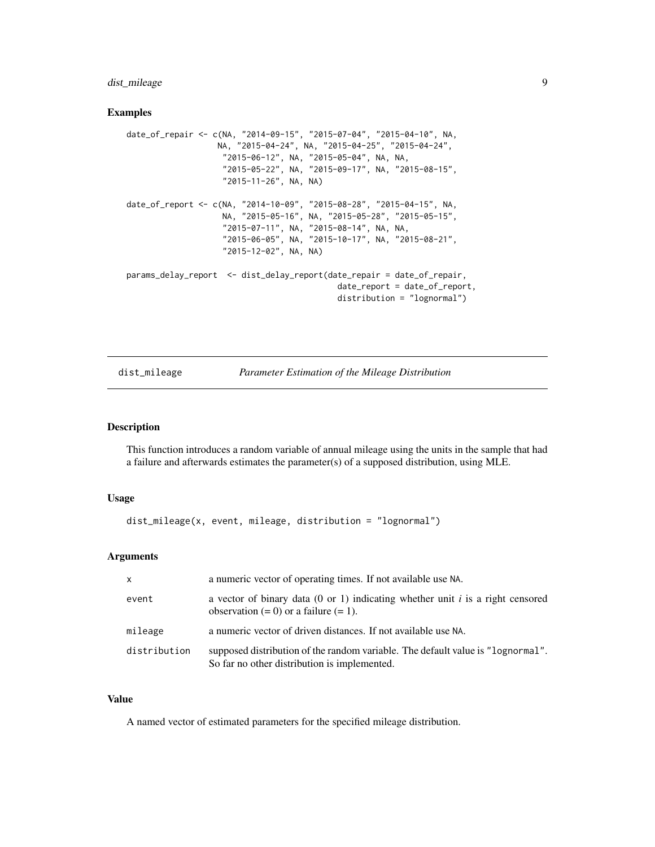# <span id="page-8-0"></span>dist\_mileage 9

#### Examples

```
date_of_repair <- c(NA, "2014-09-15", "2015-07-04", "2015-04-10", NA,
                  NA, "2015-04-24", NA, "2015-04-25", "2015-04-24",
                    "2015-06-12", NA, "2015-05-04", NA, NA,
                    "2015-05-22", NA, "2015-09-17", NA, "2015-08-15",
                    "2015-11-26", NA, NA)
date_of_report <- c(NA, "2014-10-09", "2015-08-28", "2015-04-15", NA,
                    NA, "2015-05-16", NA, "2015-05-28", "2015-05-15",
                    "2015-07-11", NA, "2015-08-14", NA, NA,
                    "2015-06-05", NA, "2015-10-17", NA, "2015-08-21",
                    "2015-12-02", NA, NA)
params_delay_report <- dist_delay_report(date_repair = date_of_repair,
                                            date_report = date_of_report,
                                            distribution = "lognormal")
```
dist\_mileage *Parameter Estimation of the Mileage Distribution*

#### Description

This function introduces a random variable of annual mileage using the units in the sample that had a failure and afterwards estimates the parameter(s) of a supposed distribution, using MLE.

## Usage

```
dist_mileage(x, event, mileage, distribution = "lognormal")
```
# Arguments

| X            | a numeric vector of operating times. If not available use NA.                                                                   |
|--------------|---------------------------------------------------------------------------------------------------------------------------------|
| event        | a vector of binary data (0 or 1) indicating whether unit i is a right censored<br>observation $(= 0)$ or a failure $(= 1)$ .    |
| mileage      | a numeric vector of driven distances. If not available use NA.                                                                  |
| distribution | supposed distribution of the random variable. The default value is "lognormal".<br>So far no other distribution is implemented. |

# Value

A named vector of estimated parameters for the specified mileage distribution.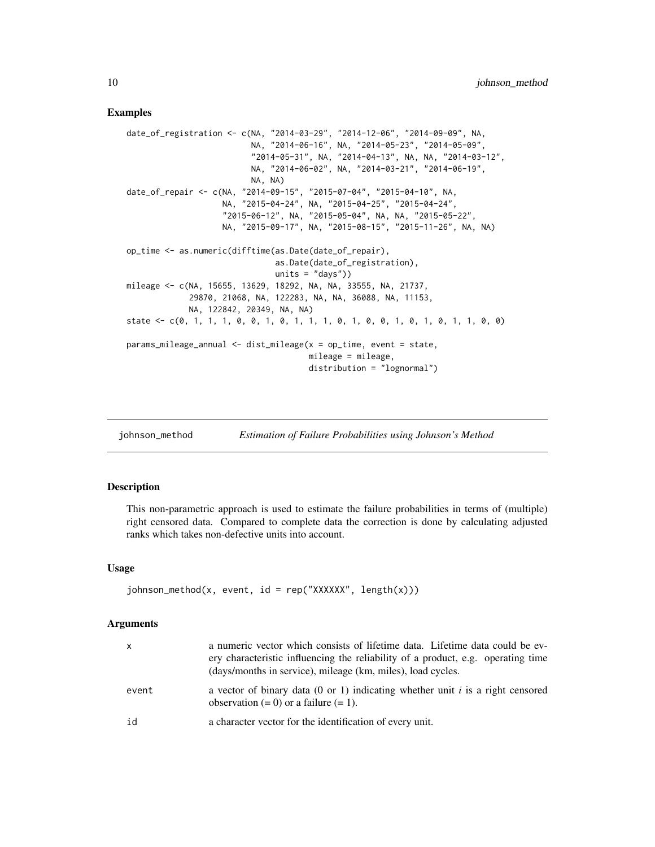#### <span id="page-9-0"></span>Examples

```
date_of_registration <- c(NA, "2014-03-29", "2014-12-06", "2014-09-09", NA,
                          NA, "2014-06-16", NA, "2014-05-23", "2014-05-09",
                          "2014-05-31", NA, "2014-04-13", NA, NA, "2014-03-12",
                          NA, "2014-06-02", NA, "2014-03-21", "2014-06-19",
                          NA, NA)
date_of_repair <- c(NA, "2014-09-15", "2015-07-04", "2015-04-10", NA,
                   NA, "2015-04-24", NA, "2015-04-25", "2015-04-24",
                    "2015-06-12", NA, "2015-05-04", NA, NA, "2015-05-22",
                   NA, "2015-09-17", NA, "2015-08-15", "2015-11-26", NA, NA)
op_time <- as.numeric(difftime(as.Date(date_of_repair),
                               as.Date(date_of_registration),
                               units = "days")mileage <- c(NA, 15655, 13629, 18292, NA, NA, 33555, NA, 21737,
             29870, 21068, NA, 122283, NA, NA, 36088, NA, 11153,
             NA, 122842, 20349, NA, NA)
state <- c(0, 1, 1, 1, 0, 0, 1, 0, 1, 1, 1, 0, 1, 0, 0, 1, 0, 1, 0, 1, 1, 0, 0)
params_mileage_annual <- dist_mileage(x = op_time, event = state,
                                      mileage = mileage,
                                      distribution = "lognormal")
```
johnson\_method *Estimation of Failure Probabilities using Johnson's Method*

# Description

This non-parametric approach is used to estimate the failure probabilities in terms of (multiple) right censored data. Compared to complete data the correction is done by calculating adjusted ranks which takes non-defective units into account.

#### Usage

```
johnson_method(x, event, id = rep("XXXXX", length(x)))
```
#### Arguments

| x     | a numeric vector which consists of lifetime data. Lifetime data could be ev-<br>ery characteristic influencing the reliability of a product, e.g. operating time<br>(days/months in service), mileage (km, miles), load cycles. |
|-------|---------------------------------------------------------------------------------------------------------------------------------------------------------------------------------------------------------------------------------|
| event | a vector of binary data (0 or 1) indicating whether unit i is a right censored<br>observation $(= 0)$ or a failure $(= 1)$ .                                                                                                    |
| id    | a character vector for the identification of every unit.                                                                                                                                                                        |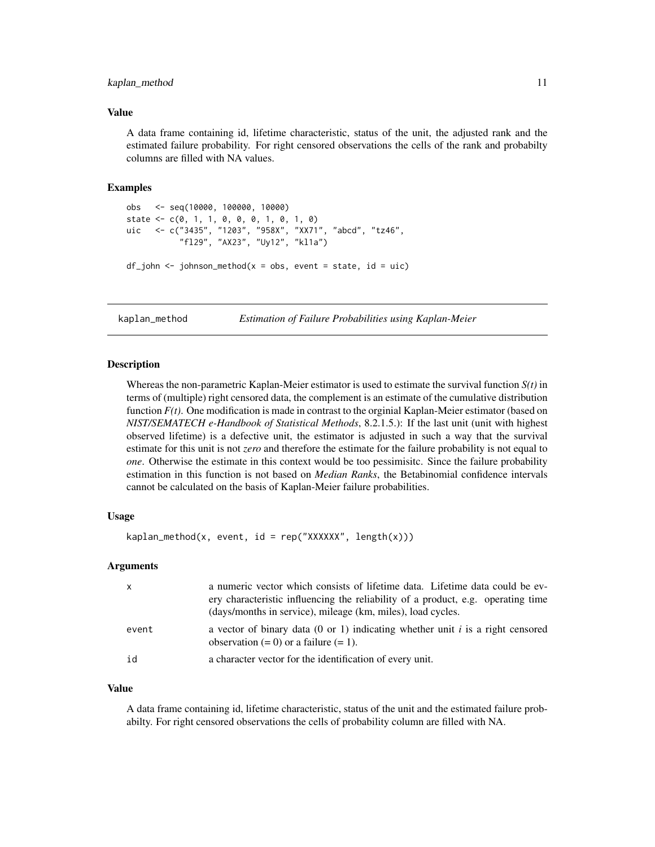#### <span id="page-10-0"></span>kaplan\_method 11

#### Value

A data frame containing id, lifetime characteristic, status of the unit, the adjusted rank and the estimated failure probability. For right censored observations the cells of the rank and probabilty columns are filled with NA values.

# Examples

```
obs <- seq(10000, 100000, 10000)
state <- c(0, 1, 1, 0, 0, 0, 1, 0, 1, 0)
uic <- c("3435", "1203", "958X", "XX71", "abcd", "tz46",
           "fl29", "AX23", "Uy12", "kl1a")
df_john < -johnson_method(x = obs, event = state, id = uic)
```
kaplan\_method *Estimation of Failure Probabilities using Kaplan-Meier*

#### **Description**

Whereas the non-parametric Kaplan-Meier estimator is used to estimate the survival function  $S(t)$  in terms of (multiple) right censored data, the complement is an estimate of the cumulative distribution function  $F(t)$ . One modification is made in contrast to the orginial Kaplan-Meier estimator (based on *NIST/SEMATECH e-Handbook of Statistical Methods*, 8.2.1.5.): If the last unit (unit with highest observed lifetime) is a defective unit, the estimator is adjusted in such a way that the survival estimate for this unit is not *zero* and therefore the estimate for the failure probability is not equal to *one*. Otherwise the estimate in this context would be too pessimisitc. Since the failure probability estimation in this function is not based on *Median Ranks*, the Betabinomial confidence intervals cannot be calculated on the basis of Kaplan-Meier failure probabilities.

# Usage

```
kaplan_method(x, event, id = rep("XXXXX", length(x)))
```
#### Arguments

| $\mathsf{x}$ | a numeric vector which consists of lifetime data. Lifetime data could be ev-<br>ery characteristic influencing the reliability of a product, e.g. operating time<br>(days/months in service), mileage (km, miles), load cycles. |
|--------------|---------------------------------------------------------------------------------------------------------------------------------------------------------------------------------------------------------------------------------|
| event        | a vector of binary data (0 or 1) indicating whether unit i is a right censored<br>observation $(= 0)$ or a failure $(= 1)$ .                                                                                                    |
| id           | a character vector for the identification of every unit.                                                                                                                                                                        |

#### Value

A data frame containing id, lifetime characteristic, status of the unit and the estimated failure probabilty. For right censored observations the cells of probability column are filled with NA.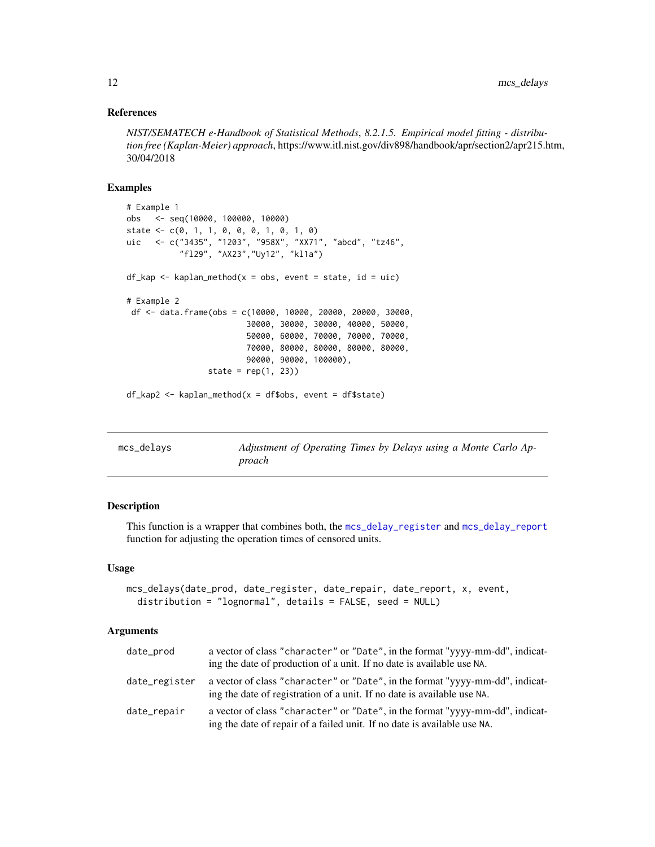# <span id="page-11-0"></span>References

*NIST/SEMATECH e-Handbook of Statistical Methods*, *8.2.1.5. Empirical model fitting - distribution free (Kaplan-Meier) approach*, https://www.itl.nist.gov/div898/handbook/apr/section2/apr215.htm, 30/04/2018

# Examples

```
# Example 1
obs <- seq(10000, 100000, 10000)
state \leq c(0, 1, 1, 0, 0, 0, 1, 0, 1, 0)uic <- c("3435", "1203", "958X", "XX71", "abcd", "tz46",
           "fl29", "AX23","Uy12", "kl1a")
df_kap \leftarrow kaplan_method(x = obs, event = state, id = uic)# Example 2
df <- data.frame(obs = c(10000, 10000, 20000, 20000, 30000,
                         30000, 30000, 30000, 40000, 50000,
                         50000, 60000, 70000, 70000, 70000,
                         70000, 80000, 80000, 80000, 80000,
                         90000, 90000, 100000),
                 state = rep(1, 23))
df_kap2 <- kaplan_method(x = df$obs, event = df$state)
```
<span id="page-11-1"></span>

| mcs_delays | Adjustment of Operating Times by Delays using a Monte Carlo Ap-<br>proach |
|------------|---------------------------------------------------------------------------|
|            |                                                                           |

# Description

This function is a wrapper that combines both, the [mcs\\_delay\\_register](#page-13-1) and [mcs\\_delay\\_report](#page-15-1) function for adjusting the operation times of censored units.

#### Usage

```
mcs_delays(date_prod, date_register, date_repair, date_report, x, event,
  distribution = "lognormal", details = FALSE, seed = NULL)
```
#### Arguments

| date_prod     | a vector of class "character" or "Date", in the format "yyyy-mm-dd", indicat-<br>ing the date of production of a unit. If no date is available use NA.    |
|---------------|-----------------------------------------------------------------------------------------------------------------------------------------------------------|
| date_register | a vector of class "character" or "Date", in the format "yyyy-mm-dd", indicat-<br>ing the date of registration of a unit. If no date is available use NA.  |
| date_repair   | a vector of class "character" or "Date", in the format "yyyy-mm-dd", indicat-<br>ing the date of repair of a failed unit. If no date is available use NA. |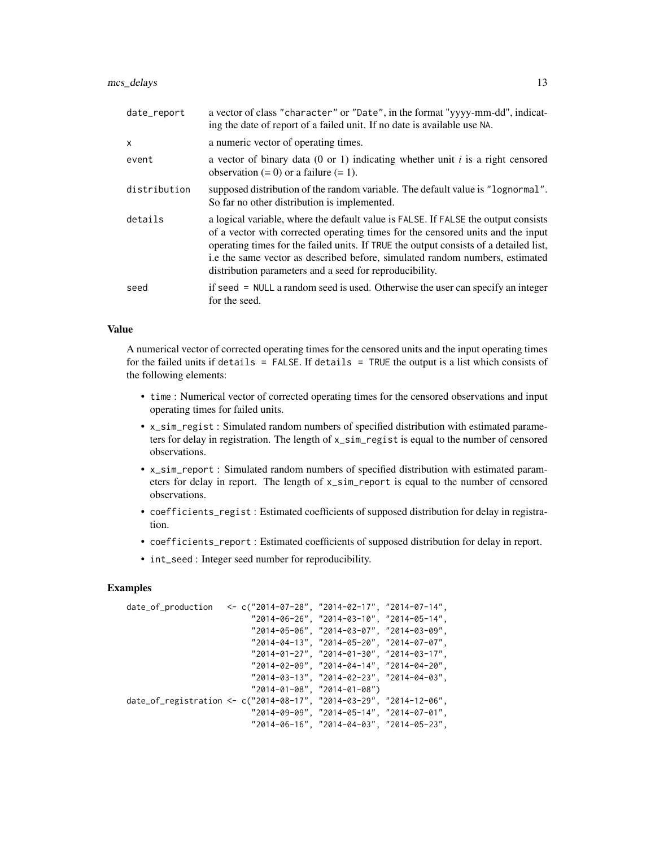| date_report  | a vector of class "character" or "Date", in the format "yyyy-mm-dd", indicat-<br>ing the date of report of a failed unit. If no date is available use NA.                                                                                                                                                                                                                                                 |
|--------------|-----------------------------------------------------------------------------------------------------------------------------------------------------------------------------------------------------------------------------------------------------------------------------------------------------------------------------------------------------------------------------------------------------------|
| x            | a numeric vector of operating times.                                                                                                                                                                                                                                                                                                                                                                      |
| event        | a vector of binary data $(0 \text{ or } 1)$ indicating whether unit i is a right censored<br>observation $(= 0)$ or a failure $(= 1)$ .                                                                                                                                                                                                                                                                   |
| distribution | supposed distribution of the random variable. The default value is "lognormal".<br>So far no other distribution is implemented.                                                                                                                                                                                                                                                                           |
| details      | a logical variable, where the default value is FALSE. If FALSE the output consists<br>of a vector with corrected operating times for the censored units and the input<br>operating times for the failed units. If TRUE the output consists of a detailed list,<br>i.e the same vector as described before, simulated random numbers, estimated<br>distribution parameters and a seed for reproducibility. |
| seed         | if seed = NULL a random seed is used. Otherwise the user can specify an integer<br>for the seed.                                                                                                                                                                                                                                                                                                          |

# Value

A numerical vector of corrected operating times for the censored units and the input operating times for the failed units if details = FALSE. If details = TRUE the output is a list which consists of the following elements:

- time : Numerical vector of corrected operating times for the censored observations and input operating times for failed units.
- x\_sim\_regist : Simulated random numbers of specified distribution with estimated parameters for delay in registration. The length of x\_sim\_regist is equal to the number of censored observations.
- x\_sim\_report : Simulated random numbers of specified distribution with estimated parameters for delay in report. The length of x\_sim\_report is equal to the number of censored observations.
- coefficients\_regist : Estimated coefficients of supposed distribution for delay in registration.
- coefficients\_report : Estimated coefficients of supposed distribution for delay in report.
- int\_seed : Integer seed number for reproducibility.

```
date_of_production <- c("2014-07-28", "2014-02-17", "2014-07-14",
                          "2014-06-26", "2014-03-10", "2014-05-14",
                          "2014-05-06", "2014-03-07", "2014-03-09",
                          "2014-04-13", "2014-05-20", "2014-07-07",
                          "2014-01-27", "2014-01-30", "2014-03-17",
                          "2014-02-09", "2014-04-14", "2014-04-20",
                          "2014-03-13", "2014-02-23", "2014-04-03",
                          "2014-01-08", "2014-01-08")
date_of_registration <- c("2014-08-17", "2014-03-29", "2014-12-06",
                          "2014-09-09", "2014-05-14", "2014-07-01",
                          "2014-06-16", "2014-04-03", "2014-05-23",
```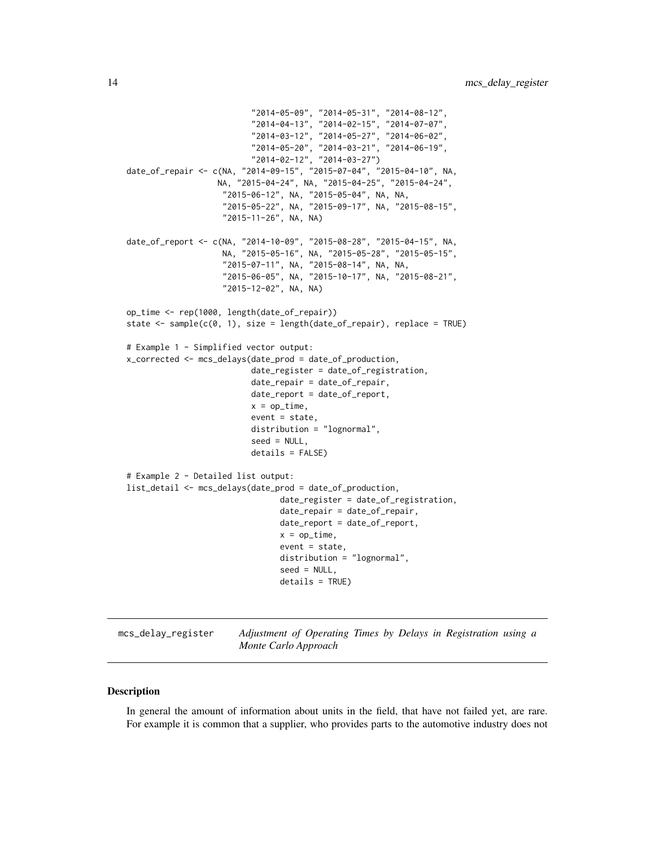```
"2014-05-09", "2014-05-31", "2014-08-12",
                          "2014-04-13", "2014-02-15", "2014-07-07",
                          "2014-03-12", "2014-05-27", "2014-06-02",
                          "2014-05-20", "2014-03-21", "2014-06-19",
                          "2014-02-12", "2014-03-27")
date_of_repair <- c(NA, "2014-09-15", "2015-07-04", "2015-04-10", NA,
                   NA, "2015-04-24", NA, "2015-04-25", "2015-04-24",
                    "2015-06-12", NA, "2015-05-04", NA, NA,
                    "2015-05-22", NA, "2015-09-17", NA, "2015-08-15",
                    "2015-11-26", NA, NA)
date_of_report <- c(NA, "2014-10-09", "2015-08-28", "2015-04-15", NA,
                    NA, "2015-05-16", NA, "2015-05-28", "2015-05-15",
                    "2015-07-11", NA, "2015-08-14", NA, NA,
                    "2015-06-05", NA, "2015-10-17", NA, "2015-08-21",
                    "2015-12-02", NA, NA)
op_time <- rep(1000, length(date_of_repair))
state <- sample(c(0, 1), size = length(date_of_repair), replace = TRUE)
# Example 1 - Simplified vector output:
x_corrected <- mcs_delays(date_prod = date_of_production,
                          date_register = date_of_registration,
                          date_repair = date_of_repair,
                          date_report = date_of_report,
                          x = op_time,event = state,
                          distribution = "lognormal",
                          seed = NULL,
                          details = FALSE)
# Example 2 - Detailed list output:
list_detail <- mcs_delays(date_prod = date_of_production,
                                date_register = date_of_registration,
                                date_repair = date_of_repair,
                                date_report = date_of_report,
                                x = op_time,event = state,
                                distribution = "lognormal",
                                seed = NULL,
                                details = TRUE)
```
<span id="page-13-1"></span>mcs\_delay\_register *Adjustment of Operating Times by Delays in Registration using a Monte Carlo Approach*

#### Description

In general the amount of information about units in the field, that have not failed yet, are rare. For example it is common that a supplier, who provides parts to the automotive industry does not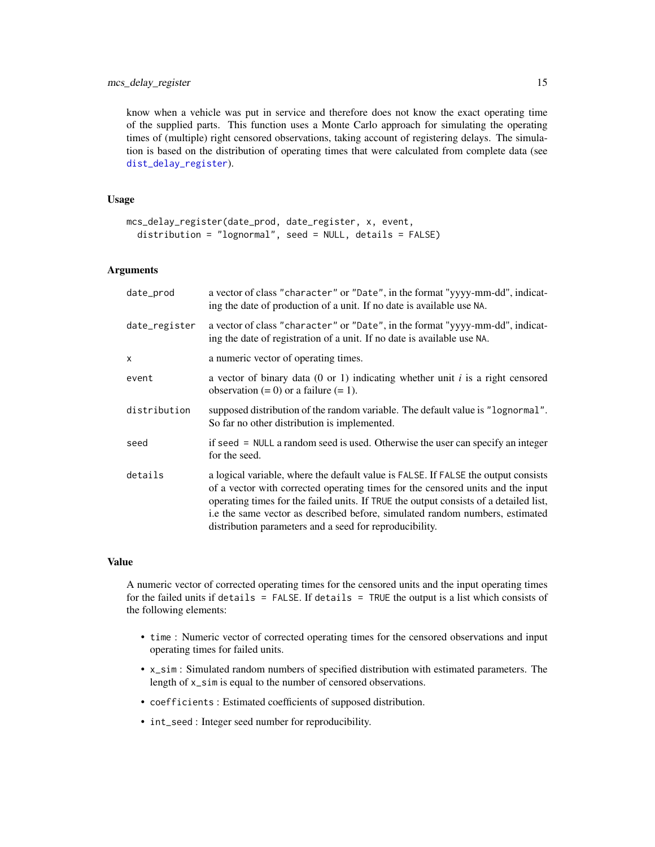<span id="page-14-0"></span>know when a vehicle was put in service and therefore does not know the exact operating time of the supplied parts. This function uses a Monte Carlo approach for simulating the operating times of (multiple) right censored observations, taking account of registering delays. The simulation is based on the distribution of operating times that were calculated from complete data (see [dist\\_delay\\_register](#page-6-1)).

# Usage

```
mcs_delay_register(date_prod, date_register, x, event,
  distribution = "lognormal", seed = NULL, details = FALSE)
```
#### Arguments

| date_prod     | a vector of class "character" or "Date", in the format "yyyy-mm-dd", indicat-<br>ing the date of production of a unit. If no date is available use NA.                                                                                                                                                                                                                                                    |
|---------------|-----------------------------------------------------------------------------------------------------------------------------------------------------------------------------------------------------------------------------------------------------------------------------------------------------------------------------------------------------------------------------------------------------------|
| date_register | a vector of class "character" or "Date", in the format "yyyy-mm-dd", indicat-<br>ing the date of registration of a unit. If no date is available use NA.                                                                                                                                                                                                                                                  |
| X             | a numeric vector of operating times.                                                                                                                                                                                                                                                                                                                                                                      |
| event         | a vector of binary data $(0 \text{ or } 1)$ indicating whether unit i is a right censored<br>observation $(= 0)$ or a failure $(= 1)$ .                                                                                                                                                                                                                                                                   |
| distribution  | supposed distribution of the random variable. The default value is "lognormal".<br>So far no other distribution is implemented.                                                                                                                                                                                                                                                                           |
| seed          | if seed = NULL a random seed is used. Otherwise the user can specify an integer<br>for the seed.                                                                                                                                                                                                                                                                                                          |
| details       | a logical variable, where the default value is FALSE. If FALSE the output consists<br>of a vector with corrected operating times for the censored units and the input<br>operating times for the failed units. If TRUE the output consists of a detailed list,<br>i.e the same vector as described before, simulated random numbers, estimated<br>distribution parameters and a seed for reproducibility. |

#### Value

A numeric vector of corrected operating times for the censored units and the input operating times for the failed units if details = FALSE. If details = TRUE the output is a list which consists of the following elements:

- time : Numeric vector of corrected operating times for the censored observations and input operating times for failed units.
- x\_sim : Simulated random numbers of specified distribution with estimated parameters. The length of x\_sim is equal to the number of censored observations.
- coefficients : Estimated coefficients of supposed distribution.
- int\_seed : Integer seed number for reproducibility.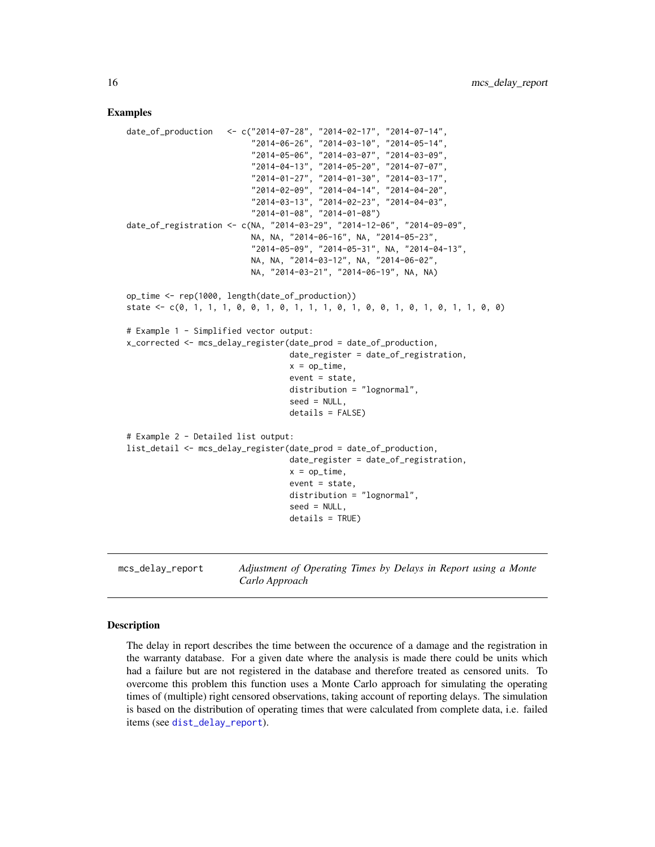#### Examples

```
date_of_production <- c("2014-07-28", "2014-02-17", "2014-07-14",
                          "2014-06-26", "2014-03-10", "2014-05-14",
                          "2014-05-06", "2014-03-07", "2014-03-09",
                          "2014-04-13", "2014-05-20", "2014-07-07",
                          "2014-01-27", "2014-01-30", "2014-03-17",
                          "2014-02-09", "2014-04-14", "2014-04-20",
                          "2014-03-13", "2014-02-23", "2014-04-03",
                          "2014-01-08", "2014-01-08")
date_of_registration <- c(NA, "2014-03-29", "2014-12-06", "2014-09-09",
                          NA, NA, "2014-06-16", NA, "2014-05-23",
                          "2014-05-09", "2014-05-31", NA, "2014-04-13",
                          NA, NA, "2014-03-12", NA, "2014-06-02",
                          NA, "2014-03-21", "2014-06-19", NA, NA)
op_time <- rep(1000, length(date_of_production))
state <- c(0, 1, 1, 1, 0, 0, 1, 0, 1, 1, 1, 0, 1, 0, 0, 1, 0, 1, 0, 1, 1, 0, 0)
# Example 1 - Simplified vector output:
x_corrected <- mcs_delay_register(date_prod = date_of_production,
                                  date_register = date_of_registration,
                                  x = op_time,event = state,
                                  distribution = "lognormal",
                                  seed = NULL,
                                  details = FALSE)
# Example 2 - Detailed list output:
list_detail <- mcs_delay_register(date_prod = date_of_production,
                                  date_register = date_of_registration,
                                  x = op_time,event = state,
                                  distribution = "lognormal",
                                  seed = NULL,
                                  details = TRUE)
```
<span id="page-15-1"></span>mcs\_delay\_report *Adjustment of Operating Times by Delays in Report using a Monte Carlo Approach*

#### **Description**

The delay in report describes the time between the occurence of a damage and the registration in the warranty database. For a given date where the analysis is made there could be units which had a failure but are not registered in the database and therefore treated as censored units. To overcome this problem this function uses a Monte Carlo approach for simulating the operating times of (multiple) right censored observations, taking account of reporting delays. The simulation is based on the distribution of operating times that were calculated from complete data, i.e. failed items (see [dist\\_delay\\_report](#page-7-1)).

<span id="page-15-0"></span>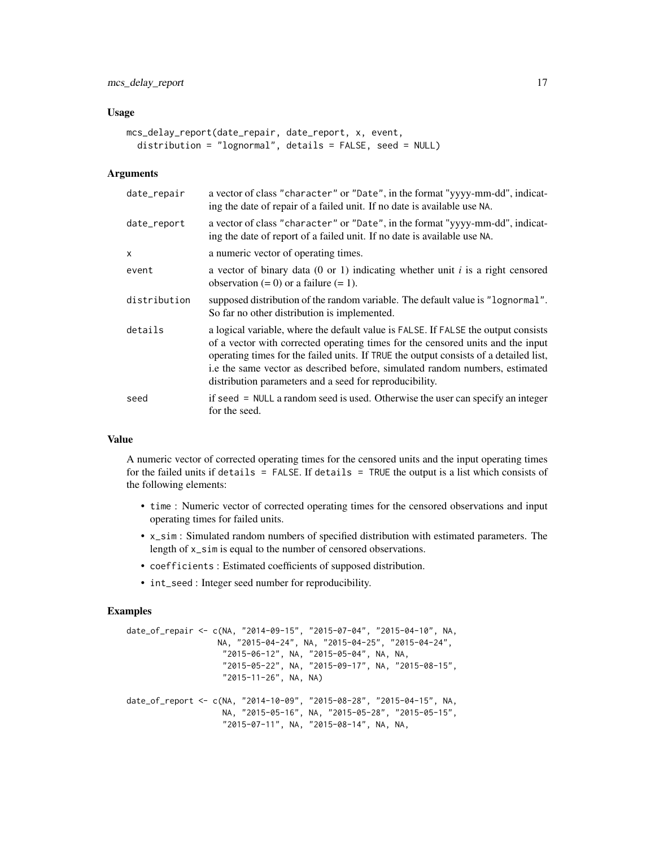#### Usage

```
mcs_delay_report(date_repair, date_report, x, event,
 distribution = "lognormal", details = FALSE, seed = NULL)
```
#### Arguments

| date_repair  | a vector of class "character" or "Date", in the format "yyyy-mm-dd", indicat-<br>ing the date of repair of a failed unit. If no date is available use NA.                                                                                                                                                                                                                                                 |
|--------------|-----------------------------------------------------------------------------------------------------------------------------------------------------------------------------------------------------------------------------------------------------------------------------------------------------------------------------------------------------------------------------------------------------------|
| date_report  | a vector of class "character" or "Date", in the format "yyyy-mm-dd", indicat-<br>ing the date of report of a failed unit. If no date is available use NA.                                                                                                                                                                                                                                                 |
| X            | a numeric vector of operating times.                                                                                                                                                                                                                                                                                                                                                                      |
| event        | a vector of binary data $(0 \text{ or } 1)$ indicating whether unit i is a right censored<br>observation $(= 0)$ or a failure $(= 1)$ .                                                                                                                                                                                                                                                                   |
| distribution | supposed distribution of the random variable. The default value is "lognormal".<br>So far no other distribution is implemented.                                                                                                                                                                                                                                                                           |
| details      | a logical variable, where the default value is FALSE. If FALSE the output consists<br>of a vector with corrected operating times for the censored units and the input<br>operating times for the failed units. If TRUE the output consists of a detailed list,<br>i.e the same vector as described before, simulated random numbers, estimated<br>distribution parameters and a seed for reproducibility. |
| seed         | if seed = NULL a random seed is used. Otherwise the user can specify an integer<br>for the seed.                                                                                                                                                                                                                                                                                                          |

# Value

A numeric vector of corrected operating times for the censored units and the input operating times for the failed units if details = FALSE. If details = TRUE the output is a list which consists of the following elements:

- time : Numeric vector of corrected operating times for the censored observations and input operating times for failed units.
- x\_sim : Simulated random numbers of specified distribution with estimated parameters. The length of x\_sim is equal to the number of censored observations.
- coefficients : Estimated coefficients of supposed distribution.
- int\_seed : Integer seed number for reproducibility.

```
date_of_repair <- c(NA, "2014-09-15", "2015-07-04", "2015-04-10", NA,
                  NA, "2015-04-24", NA, "2015-04-25", "2015-04-24",
                    "2015-06-12", NA, "2015-05-04", NA, NA,
                    "2015-05-22", NA, "2015-09-17", NA, "2015-08-15",
                    "2015-11-26", NA, NA)
date_of_report <- c(NA, "2014-10-09", "2015-08-28", "2015-04-15", NA,
                   NA, "2015-05-16", NA, "2015-05-28", "2015-05-15",
                    "2015-07-11", NA, "2015-08-14", NA, NA,
```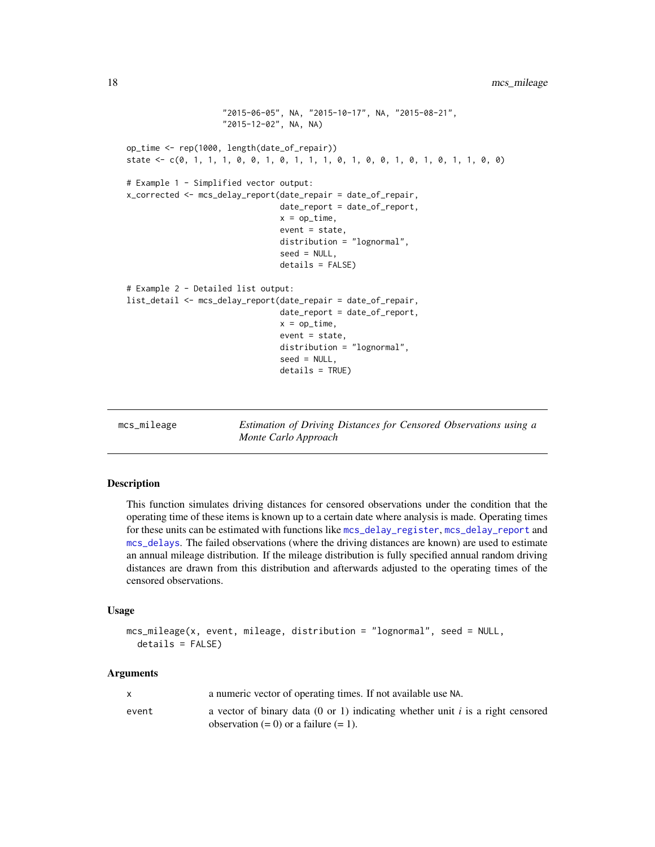```
"2015-06-05", NA, "2015-10-17", NA, "2015-08-21",
                    "2015-12-02", NA, NA)
op_time <- rep(1000, length(date_of_repair))
state <- c(0, 1, 1, 1, 0, 0, 1, 0, 1, 1, 1, 0, 1, 0, 0, 1, 0, 1, 0, 1, 1, 0, 0)
# Example 1 - Simplified vector output:
x_corrected <- mcs_delay_report(date_repair = date_of_repair,
                                date_report = date_of_report,
                                x = op_time,event = state,
                                distribution = "lognormal",
                                seed = NULL,
                                details = FALSE)
# Example 2 - Detailed list output:
list_detail <- mcs_delay_report(date_repair = date_of_repair,
                                date_report = date_of_report,
                                x = op_time,event = state,
                                distribution = "lognormal",
                                seed = NULL,
                                details = TRUE)
```
mcs\_mileage *Estimation of Driving Distances for Censored Observations using a Monte Carlo Approach*

# Description

This function simulates driving distances for censored observations under the condition that the operating time of these items is known up to a certain date where analysis is made. Operating times for these units can be estimated with functions like [mcs\\_delay\\_register](#page-13-1), [mcs\\_delay\\_report](#page-15-1) and [mcs\\_delays](#page-11-1). The failed observations (where the driving distances are known) are used to estimate an annual mileage distribution. If the mileage distribution is fully specified annual random driving distances are drawn from this distribution and afterwards adjusted to the operating times of the censored observations.

#### Usage

```
mcs_mileage(x, event, mileage, distribution = "lognormal", seed = NULL,
  details = FALSE)
```
#### Arguments

|       | a numeric vector of operating times. If not available use NA.                                                                |
|-------|------------------------------------------------------------------------------------------------------------------------------|
| event | a vector of binary data (0 or 1) indicating whether unit i is a right censored<br>observation $(= 0)$ or a failure $(= 1)$ . |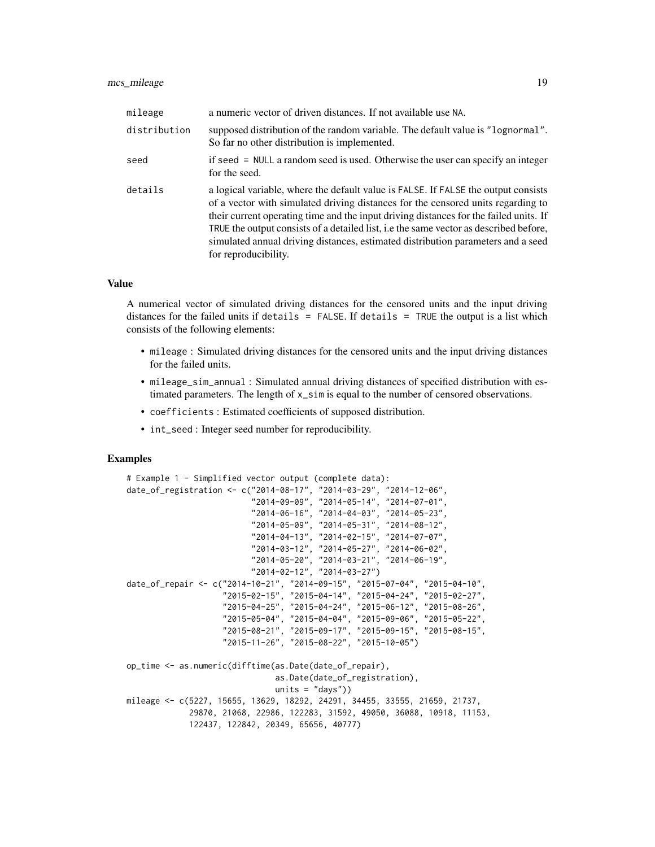| mileage      | a numeric vector of driven distances. If not available use NA.                                                                                                                                                                                                                                                                                                                                                                                                       |
|--------------|----------------------------------------------------------------------------------------------------------------------------------------------------------------------------------------------------------------------------------------------------------------------------------------------------------------------------------------------------------------------------------------------------------------------------------------------------------------------|
| distribution | supposed distribution of the random variable. The default value is "lognormal".<br>So far no other distribution is implemented.                                                                                                                                                                                                                                                                                                                                      |
| seed         | if seed = NULL a random seed is used. Otherwise the user can specify an integer<br>for the seed.                                                                                                                                                                                                                                                                                                                                                                     |
| details      | a logical variable, where the default value is FALSE. If FALSE the output consists<br>of a vector with simulated driving distances for the censored units regarding to<br>their current operating time and the input driving distances for the failed units. If<br>TRUE the output consists of a detailed list, i.e the same vector as described before,<br>simulated annual driving distances, estimated distribution parameters and a seed<br>for reproducibility. |

# Value

A numerical vector of simulated driving distances for the censored units and the input driving distances for the failed units if details = FALSE. If details = TRUE the output is a list which consists of the following elements:

- mileage : Simulated driving distances for the censored units and the input driving distances for the failed units.
- mileage\_sim\_annual : Simulated annual driving distances of specified distribution with estimated parameters. The length of x\_sim is equal to the number of censored observations.
- coefficients : Estimated coefficients of supposed distribution.
- int\_seed : Integer seed number for reproducibility.

```
# Example 1 - Simplified vector output (complete data):
date_of_registration <- c("2014-08-17", "2014-03-29", "2014-12-06",
                          "2014-09-09", "2014-05-14", "2014-07-01",
                          "2014-06-16", "2014-04-03", "2014-05-23",
                          "2014-05-09", "2014-05-31", "2014-08-12",
                          "2014-04-13", "2014-02-15", "2014-07-07",
                          "2014-03-12", "2014-05-27", "2014-06-02",
                          "2014-05-20", "2014-03-21", "2014-06-19",
                          "2014-02-12", "2014-03-27")
date_of_repair <- c("2014-10-21", "2014-09-15", "2015-07-04", "2015-04-10",
                    "2015-02-15", "2015-04-14", "2015-04-24", "2015-02-27",
                    "2015-04-25", "2015-04-24", "2015-06-12", "2015-08-26",
                    "2015-05-04", "2015-04-04", "2015-09-06", "2015-05-22",
                    "2015-08-21", "2015-09-17", "2015-09-15", "2015-08-15",
                    "2015-11-26", "2015-08-22", "2015-10-05")
op_time <- as.numeric(difftime(as.Date(date_of_repair),
                               as.Date(date_of_registration),
                               units = "days")mileage <- c(5227, 15655, 13629, 18292, 24291, 34455, 33555, 21659, 21737,
             29870, 21068, 22986, 122283, 31592, 49050, 36088, 10918, 11153,
             122437, 122842, 20349, 65656, 40777)
```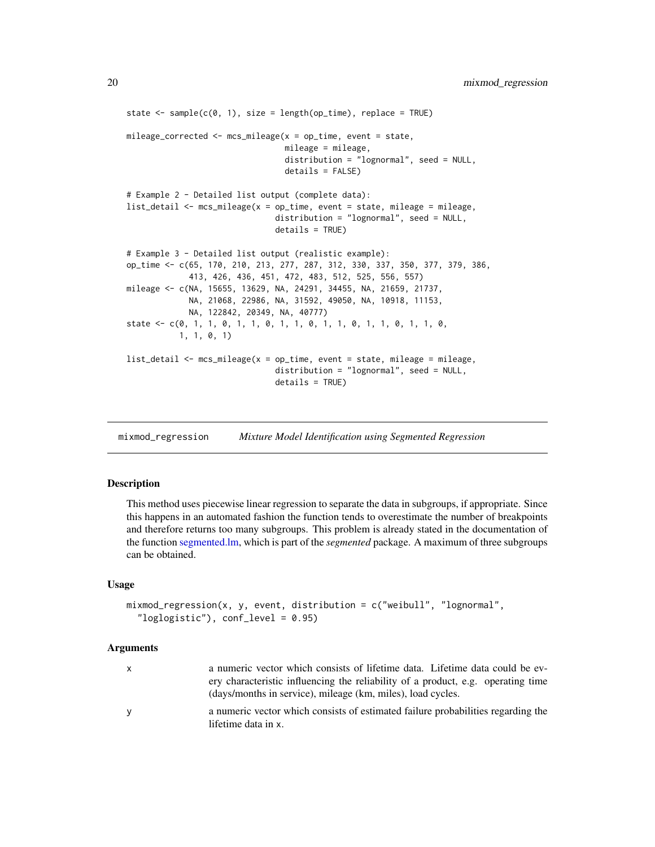```
state \leq sample(c(0, 1), size = length(op_time), replace = TRUE)
mileage_corrected <- mcs_mileage(x = op_time, event = state,
                                 mileage = mileage,
                                 distribution = "lognormal", seed = NULL,
                                 details = FALSE)
# Example 2 - Detailed list output (complete data):
list_detail <- mcs_mileage(x = op_time, event = state, mileage = mileage,
                               distribution = "lognormal", seed = NULL,
                               details = TRUE)
# Example 3 - Detailed list output (realistic example):
op_time <- c(65, 170, 210, 213, 277, 287, 312, 330, 337, 350, 377, 379, 386,
             413, 426, 436, 451, 472, 483, 512, 525, 556, 557)
mileage <- c(NA, 15655, 13629, NA, 24291, 34455, NA, 21659, 21737,
             NA, 21068, 22986, NA, 31592, 49050, NA, 10918, 11153,
             NA, 122842, 20349, NA, 40777)
state <- c(0, 1, 1, 0, 1, 1, 0, 1, 1, 0, 1, 1, 0, 1, 1, 0, 1, 1, 0,
           1, 1, 0, 1)
list_detail <- mcs_mileage(x = op_time, event = state, mileage = mileage,
                               distribution = "lognormal", seed = NULL,
                               details = TRUE)
```
<span id="page-19-1"></span>mixmod\_regression *Mixture Model Identification using Segmented Regression*

# **Description**

This method uses piecewise linear regression to separate the data in subgroups, if appropriate. Since this happens in an automated fashion the function tends to overestimate the number of breakpoints and therefore returns too many subgroups. This problem is already stated in the documentation of the function [segmented.lm,](#page-0-0) which is part of the *segmented* package. A maximum of three subgroups can be obtained.

#### Usage

```
mixmod_regression(x, y, event, distribution = c("weibull", "lognormal",
  "loglogistic"), conf_level = 0.95)
```
#### Arguments

| x | a numeric vector which consists of lifetime data. Lifetime data could be ev-                            |
|---|---------------------------------------------------------------------------------------------------------|
|   | ery characteristic influencing the reliability of a product, e.g. operating time                        |
|   | (days/months in service), mileage (km, miles), load cycles.                                             |
| v | a numeric vector which consists of estimated failure probabilities regarding the<br>lifetime data in x. |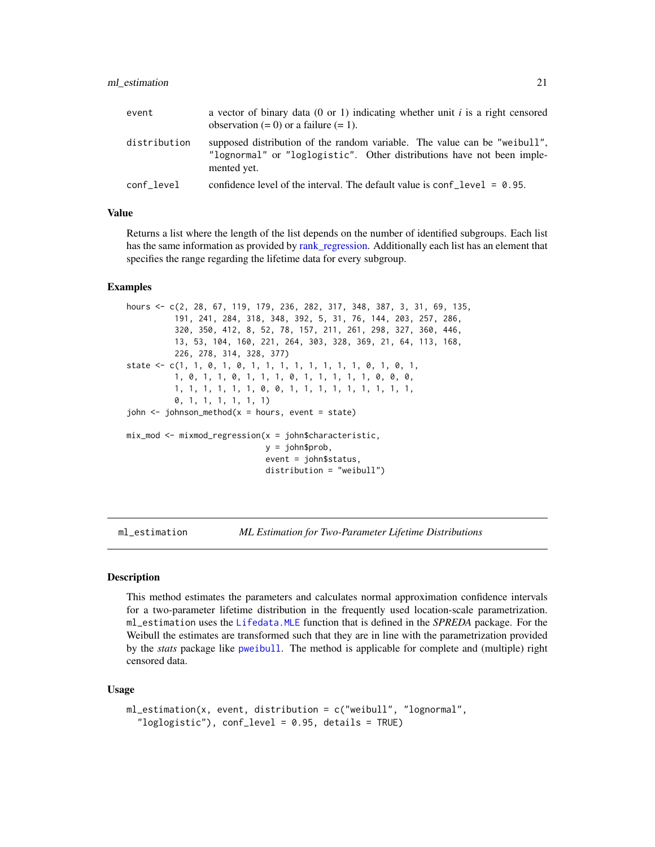#### <span id="page-20-0"></span>ml\_estimation 21

| event        | a vector of binary data (0 or 1) indicating whether unit i is a right censored<br>observation $(= 0)$ or a failure $(= 1)$ .                                       |
|--------------|--------------------------------------------------------------------------------------------------------------------------------------------------------------------|
| distribution | supposed distribution of the random variable. The value can be "weibull",<br>"lognormal" or "loglogistic". Other distributions have not been imple-<br>mented yet. |
| conf level   | confidence level of the interval. The default value is $\text{conf\_level} = 0.95$ .                                                                               |

# Value

Returns a list where the length of the list depends on the number of identified subgroups. Each list has the same information as provided by [rank\\_regression.](#page-34-1) Additionally each list has an element that specifies the range regarding the lifetime data for every subgroup.

#### Examples

```
hours <- c(2, 28, 67, 119, 179, 236, 282, 317, 348, 387, 3, 31, 69, 135,
          191, 241, 284, 318, 348, 392, 5, 31, 76, 144, 203, 257, 286,
          320, 350, 412, 8, 52, 78, 157, 211, 261, 298, 327, 360, 446,
          13, 53, 104, 160, 221, 264, 303, 328, 369, 21, 64, 113, 168,
          226, 278, 314, 328, 377)
state <- c(1, 1, 0, 1, 0, 1, 1, 1, 1, 1, 1, 1, 1, 0, 1, 0, 1,
          1, 0, 1, 1, 0, 1, 1, 1, 0, 1, 1, 1, 1, 1, 0, 0, 0,
          1, 1, 1, 1, 1, 1, 0, 0, 1, 1, 1, 1, 1, 1, 1, 1, 1,
          0, 1, 1, 1, 1, 1, 1)
john < -johnson_method(x = hours, event = state)mix\_mod \le - mixmod_regression(x = john$characteristic,
                             y = john$prob,
                             event = john$status,
                             distribution = "weibull")
```
<span id="page-20-1"></span>ml\_estimation *ML Estimation for Two-Parameter Lifetime Distributions*

#### Description

This method estimates the parameters and calculates normal approximation confidence intervals for a two-parameter lifetime distribution in the frequently used location-scale parametrization. ml\_estimation uses the [Lifedata.MLE](#page-0-0) function that is defined in the *SPREDA* package. For the Weibull the estimates are transformed such that they are in line with the parametrization provided by the *stats* package like [pweibull](#page-0-0). The method is applicable for complete and (multiple) right censored data.

# Usage

```
ml_estimation(x, event, distribution = c("weibull", "lognormal",
  "loglogistic"), conf_level = 0.95, details = TRUE)
```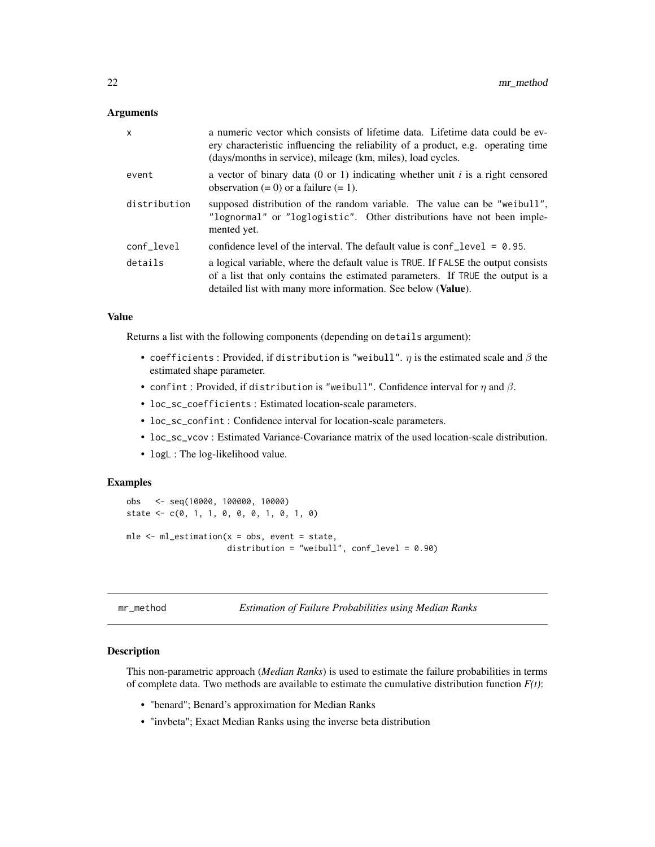#### <span id="page-21-0"></span>**Arguments**

| x            | a numeric vector which consists of lifetime data. Lifetime data could be ev-<br>ery characteristic influencing the reliability of a product, e.g. operating time<br>(days/months in service), mileage (km, miles), load cycles.     |
|--------------|-------------------------------------------------------------------------------------------------------------------------------------------------------------------------------------------------------------------------------------|
| event        | a vector of binary data $(0 \text{ or } 1)$ indicating whether unit i is a right censored<br>observation $(= 0)$ or a failure $(= 1)$ .                                                                                             |
| distribution | supposed distribution of the random variable. The value can be "weibull",<br>"lognormal" or "loglogistic". Other distributions have not been imple-<br>mented yet.                                                                  |
| conf_level   | confidence level of the interval. The default value is $\text{conf\_level} = 0.95$ .                                                                                                                                                |
| details      | a logical variable, where the default value is TRUE. If FALSE the output consists<br>of a list that only contains the estimated parameters. If TRUE the output is a<br>detailed list with many more information. See below (Value). |

#### Value

Returns a list with the following components (depending on details argument):

- coefficients : Provided, if distribution is "weibull".  $\eta$  is the estimated scale and  $\beta$  the estimated shape parameter.
- confint: Provided, if distribution is "weibull". Confidence interval for  $\eta$  and  $\beta$ .
- loc\_sc\_coefficients : Estimated location-scale parameters.
- loc\_sc\_confint : Confidence interval for location-scale parameters.
- loc\_sc\_vcov : Estimated Variance-Covariance matrix of the used location-scale distribution.
- logL : The log-likelihood value.

# Examples

```
obs <- seq(10000, 100000, 10000)
state <- c(0, 1, 1, 0, 0, 0, 1, 0, 1, 0)
mle \leq ml_estimation(x = obs, event = state,
                     distribution = "weibull", conf_level = 0.90)
```
mr\_method *Estimation of Failure Probabilities using Median Ranks*

#### Description

This non-parametric approach (*Median Ranks*) is used to estimate the failure probabilities in terms of complete data. Two methods are available to estimate the cumulative distribution function  $F(t)$ :

- "benard"; Benard's approximation for Median Ranks
- "invbeta"; Exact Median Ranks using the inverse beta distribution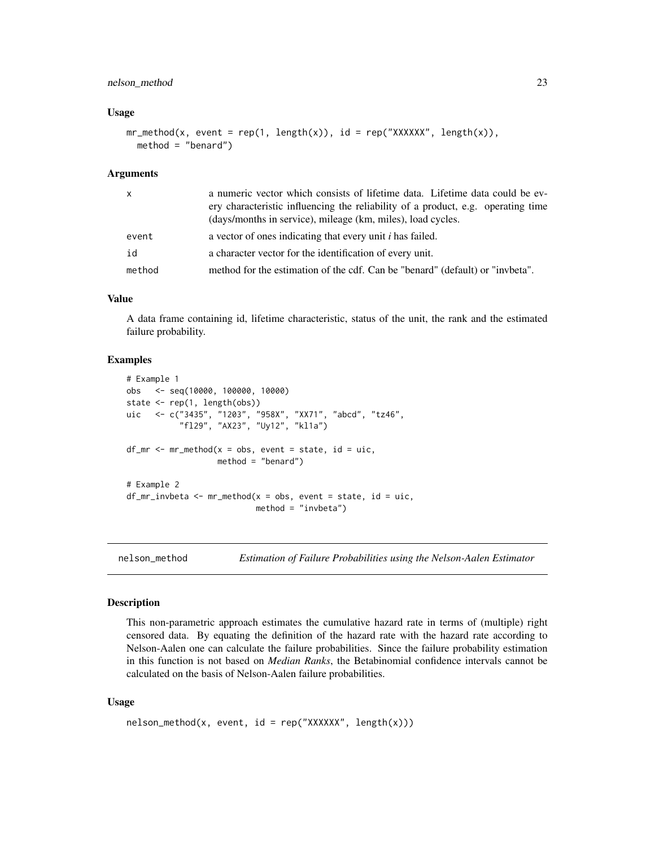# <span id="page-22-0"></span>nelson\_method 23

#### Usage

```
mr_method(x, event = rep(1, length(x)), id = rep("XXXXXX", length(x)),method = "benard")
```
#### Arguments

| X      | a numeric vector which consists of lifetime data. Lifetime data could be ev-     |
|--------|----------------------------------------------------------------------------------|
|        | ery characteristic influencing the reliability of a product, e.g. operating time |
|        | (days/months in service), mileage (km, miles), load cycles.                      |
| event  | a vector of ones indicating that every unit <i>i</i> has failed.                 |
| id     | a character vector for the identification of every unit.                         |
| method | method for the estimation of the cdf. Can be "benard" (default) or "invbeta".    |

#### Value

A data frame containing id, lifetime characteristic, status of the unit, the rank and the estimated failure probability.

# Examples

```
# Example 1
obs <- seq(10000, 100000, 10000)
state <- rep(1, length(obs))
uic <- c("3435", "1203", "958X", "XX71", "abcd", "tz46",
           "fl29", "AX23", "Uy12", "kl1a")
df_m r \leq m r_m e \cdot h \cdot o \times s, event = state, id = uic,
                    method = "benard")
# Example 2
df_mr_invbeta \leftarrow mr_method(x = obs, event = state, id = uic,method = "invbeta")
```
nelson\_method *Estimation of Failure Probabilities using the Nelson-Aalen Estimator*

#### **Description**

This non-parametric approach estimates the cumulative hazard rate in terms of (multiple) right censored data. By equating the definition of the hazard rate with the hazard rate according to Nelson-Aalen one can calculate the failure probabilities. Since the failure probability estimation in this function is not based on *Median Ranks*, the Betabinomial confidence intervals cannot be calculated on the basis of Nelson-Aalen failure probabilities.

#### Usage

```
nelson\_method(x, event, id = rep("XXXXXX", length(x)))
```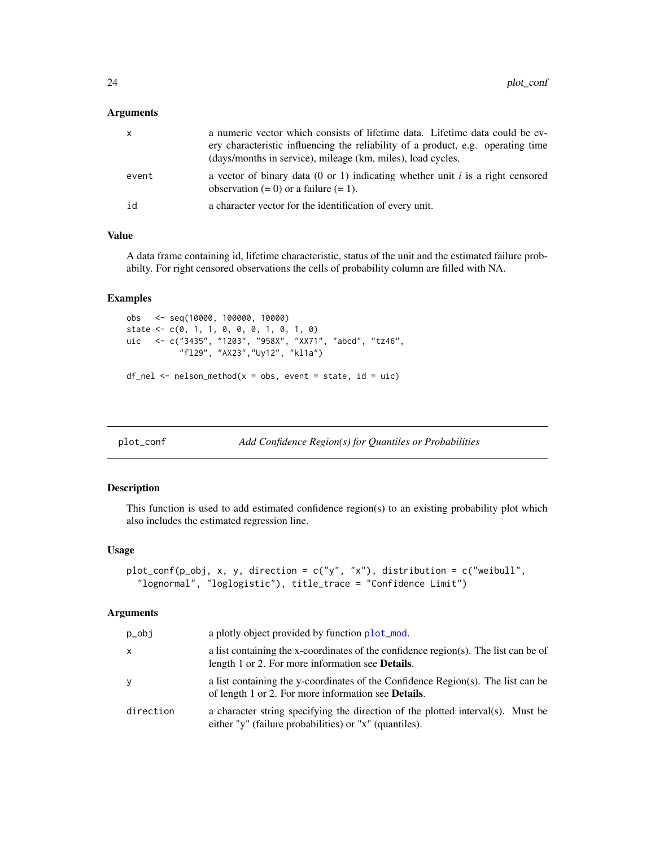#### <span id="page-23-0"></span>Arguments

| $\mathsf{X}$ | a numeric vector which consists of lifetime data. Lifetime data could be ev-<br>ery characteristic influencing the reliability of a product, e.g. operating time<br>(days/months in service), mileage (km, miles), load cycles. |
|--------------|---------------------------------------------------------------------------------------------------------------------------------------------------------------------------------------------------------------------------------|
| event        | a vector of binary data (0 or 1) indicating whether unit i is a right censored<br>observation $(= 0)$ or a failure $(= 1)$ .                                                                                                    |
| id           | a character vector for the identification of every unit.                                                                                                                                                                        |

# Value

A data frame containing id, lifetime characteristic, status of the unit and the estimated failure probabilty. For right censored observations the cells of probability column are filled with NA.

#### Examples

```
obs <- seq(10000, 100000, 10000)
state <- c(0, 1, 1, 0, 0, 0, 1, 0, 1, 0)
uic <- c("3435", "1203", "958X", "XX71", "abcd", "tz46",
           "fl29", "AX23","Uy12", "kl1a")
df_{nel} < - nelson_method(x = obs, event = state, id = uic)
```

```
plot_conf Add Confidence Region(s) for Quantiles or Probabilities
```
# Description

This function is used to add estimated confidence region(s) to an existing probability plot which also includes the estimated regression line.

#### Usage

```
plot_conf(p_obj, x, y, direction = c("y", "x"), distribution = c("weibull",
  "lognormal", "loglogistic"), title_trace = "Confidence Limit")
```
#### Arguments

| p_obj     | a plotly object provided by function plot_mod.                                                                                                  |
|-----------|-------------------------------------------------------------------------------------------------------------------------------------------------|
| x         | a list containing the x-coordinates of the confidence region(s). The list can be of<br>length 1 or 2. For more information see <b>Details</b> . |
| y         | a list containing the y-coordinates of the Confidence Region(s). The list can be<br>of length 1 or 2. For more information see <b>Details</b> . |
| direction | a character string specifying the direction of the plotted interval(s). Must be<br>either "y" (failure probabilities) or "x" (quantiles).       |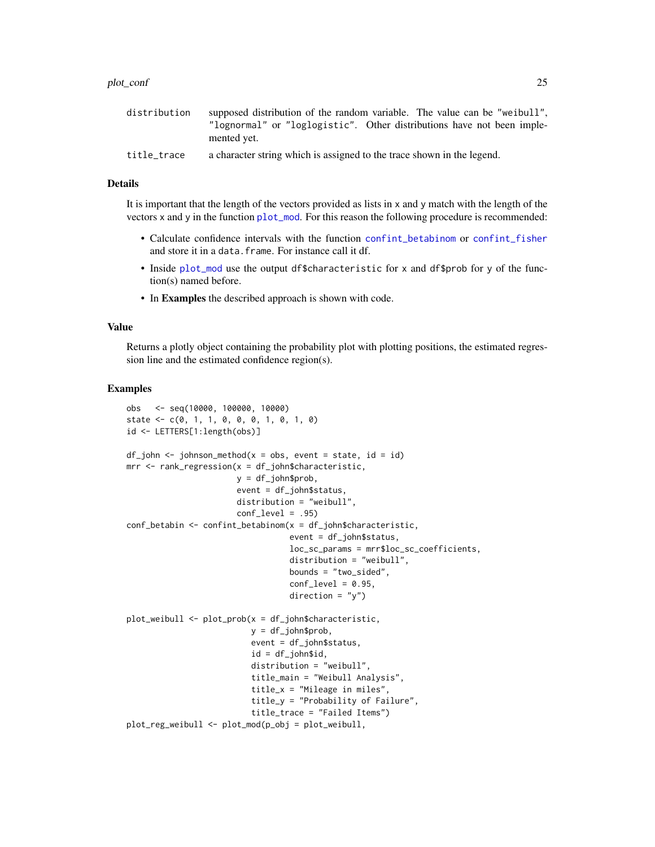<span id="page-24-0"></span>

| distribution | supposed distribution of the random variable. The value can be "weibull", |
|--------------|---------------------------------------------------------------------------|
|              | "lognormal" or "loglogistic". Other distributions have not been imple-    |
|              | mented yet.                                                               |
| title_trace  | a character string which is assigned to the trace shown in the legend.    |

## Details

It is important that the length of the vectors provided as lists in x and y match with the length of the vectors x and y in the function [plot\\_mod](#page-26-1). For this reason the following procedure is recommended:

- Calculate confidence intervals with the function [confint\\_betabinom](#page-2-1) or [confint\\_fisher](#page-4-1) and store it in a data.frame. For instance call it df.
- Inside [plot\\_mod](#page-26-1) use the output df\$characteristic for x and df\$prob for y of the function(s) named before.
- In Examples the described approach is shown with code.

#### Value

Returns a plotly object containing the probability plot with plotting positions, the estimated regression line and the estimated confidence region(s).

```
obs <- seq(10000, 100000, 10000)
state \leq c(0, 1, 1, 0, 0, 0, 1, 0, 1, 0)id <- LETTERS[1:length(obs)]
df_john < -johnson_method(x = obs, event = state, id = id)mrr <- rank_regression(x = df_john$characteristic,
                       y = df_john$prob,
                       event = df_john$status,
                       distribution = "weibull",
                       conf\_level = .95conf_betabin <- confint_betabinom(x = df_john$characteristic,
                                  event = df_john$status,
                                  loc_sc_params = mrr$loc_sc_coefficients,
                                  distribution = "weibull",
                                  bounds = "two_sided",
                                  conf\_level = 0.95,
                                  direction = "y")plot_weibull <- plot_prob(x = df_john$characteristic,
                          y = df_john$prob,
                          event = df_john$status,
                          id = df_john$id,
                          distribution = "weibull",
                          title_main = "Weibull Analysis",
                          title_x = "Mileage in miles",
                          title_y = "Probability of Failure",
                          title_trace = "Failed Items")
plot_reg_weibull <- plot_mod(p_obj = plot_weibull,
```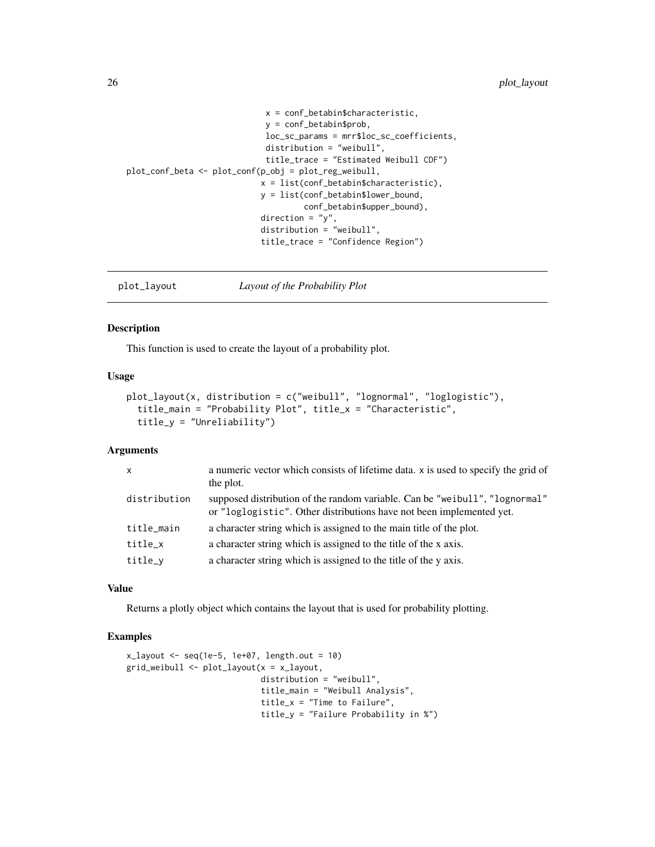```
x = conf_betabin$characteristic,
                             y = conf_betabin$prob,
                             loc_sc_params = mrr$loc_sc_coefficients,
                             distribution = "weibull",
                             title_trace = "Estimated Weibull CDF")
plot_conf_beta <- plot_conf(p_obj = plot_reg_weibull,
                            x = list(conf_betabin$characteristic),
                            y = list(conf_betabin$lower_bound,
                                     conf_betabin$upper_bound),
                            direction = "y",distribution = "weibull",
                            title_trace = "Confidence Region")
```
<span id="page-25-1"></span>plot\_layout *Layout of the Probability Plot*

# Description

This function is used to create the layout of a probability plot.

# Usage

```
plot_layout(x, distribution = c("weibull", "lognormal", "loglogistic"),
  title_main = "Probability Plot", title_x = "Characteristic",
  title_y = "Unreliability")
```
# Arguments

| $\mathsf{x}$ | a numeric vector which consists of lifetime data. x is used to specify the grid of<br>the plot.                                                     |
|--------------|-----------------------------------------------------------------------------------------------------------------------------------------------------|
| distribution | supposed distribution of the random variable. Can be "weibull", "lognormal"<br>or "loglogistic". Other distributions have not been implemented yet. |
| title_main   | a character string which is assigned to the main title of the plot.                                                                                 |
| title_x      | a character string which is assigned to the title of the x axis.                                                                                    |
| title_y      | a character string which is assigned to the title of the y axis.                                                                                    |

# Value

Returns a plotly object which contains the layout that is used for probability plotting.

```
x_{\text{1}} x \leq seq(1e-5, 1e+07, length.out = 10)
grid_weibull <- plot_layout(x = x_layout,
                             distribution = "weibull",
                             title_main = "Weibull Analysis",
                             title_x = "Time to Failure",
                             title_y = "Failure Probability in %")
```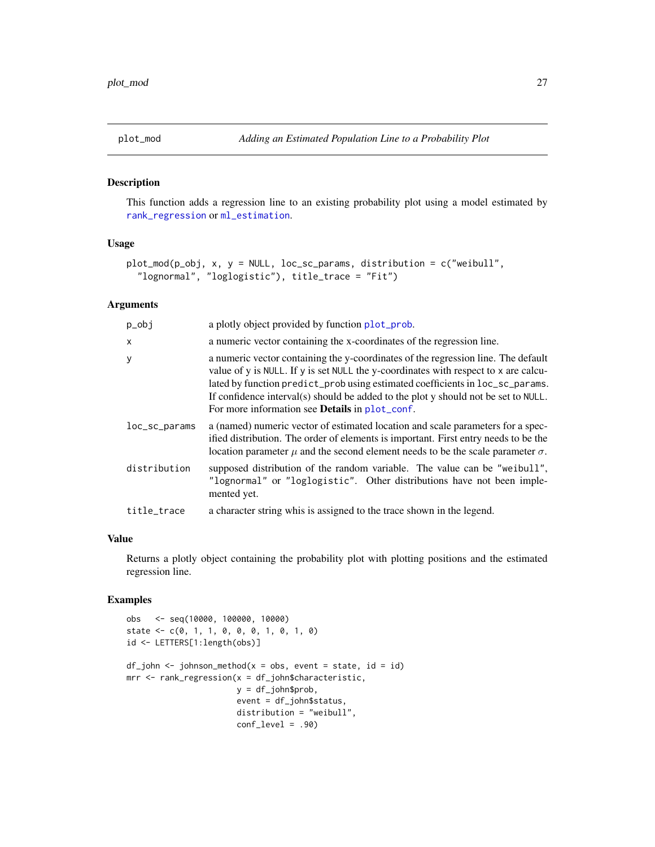<span id="page-26-1"></span><span id="page-26-0"></span>

#### Description

This function adds a regression line to an existing probability plot using a model estimated by [rank\\_regression](#page-34-1) or [ml\\_estimation](#page-20-1).

#### Usage

```
plot_mod(p_obj, x, y = NULL, loc_sc_params, distribution = c("weibull",
  "lognormal", "loglogistic"), title_trace = "Fit")
```
#### Arguments

| $p_0$         | a plotly object provided by function plot_prob.                                                                                                                                                                                                                                                                                                                                                          |
|---------------|----------------------------------------------------------------------------------------------------------------------------------------------------------------------------------------------------------------------------------------------------------------------------------------------------------------------------------------------------------------------------------------------------------|
| $\mathsf{x}$  | a numeric vector containing the x-coordinates of the regression line.                                                                                                                                                                                                                                                                                                                                    |
| У             | a numeric vector containing the y-coordinates of the regression line. The default<br>value of y is NULL. If y is set NULL the y-coordinates with respect to x are calcu-<br>lated by function predict_prob using estimated coefficients in loc_sc_params.<br>If confidence interval(s) should be added to the plot y should not be set to NULL.<br>For more information see <b>Details</b> in plot_conf. |
| loc_sc_params | a (named) numeric vector of estimated location and scale parameters for a spec-<br>ified distribution. The order of elements is important. First entry needs to be the<br>location parameter $\mu$ and the second element needs to be the scale parameter $\sigma$ .                                                                                                                                     |
| distribution  | supposed distribution of the random variable. The value can be "weibull",<br>"lognormal" or "loglogistic". Other distributions have not been imple-<br>mented yet.                                                                                                                                                                                                                                       |
| title_trace   | a character string whis is assigned to the trace shown in the legend.                                                                                                                                                                                                                                                                                                                                    |

#### Value

Returns a plotly object containing the probability plot with plotting positions and the estimated regression line.

```
obs <- seq(10000, 100000, 10000)
state \leq -c(0, 1, 1, 0, 0, 0, 1, 0, 1, 0)id <- LETTERS[1:length(obs)]
df_john < -johnson_method(x = obs, event = state, id = id)mrr <- rank_regression(x = df_john$characteristic,
                       y = df_john$prob,
                       event = df_john$status,
                       distribution = "weibull",
                       conf_level = .90)
```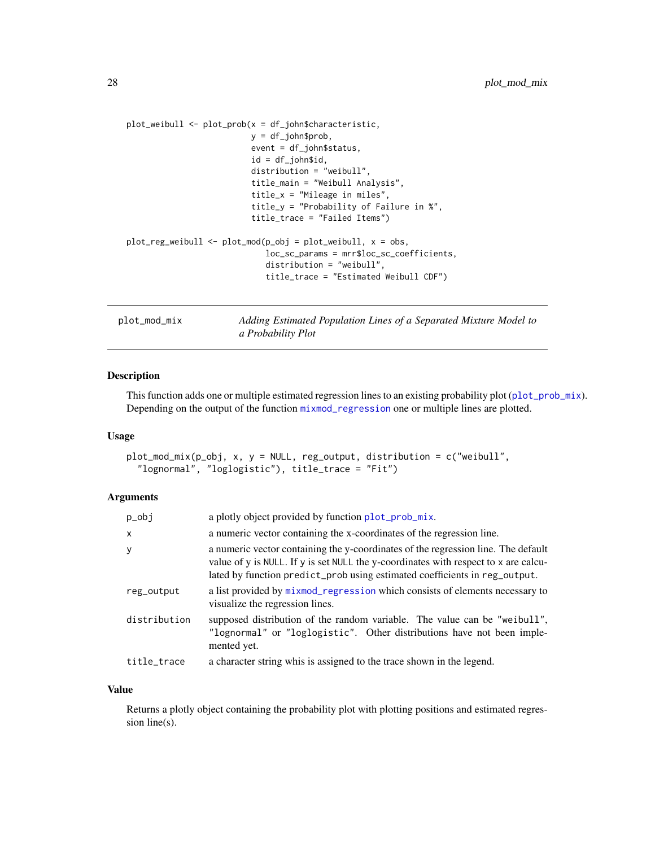```
plot_weibull <- plot_prob(x = df_john$characteristic,
                          y = df_john$prob,
                           event = df_john$status,
                           id = df_john$id,
                          distribution = "weibull",
                          title_main = "Weibull Analysis",
                           title_x = "Mileage in miles",
                           title_y = "Probability of Failure in %",
                           title_trace = "Failed Items")
plot\_reg\_weibull \leftarrow plot\_mod(p\_obj = plot\_weibull, x = obs,loc_sc_params = mrr$loc_sc_coefficients,
                              distribution = "weibull",
                              title_trace = "Estimated Weibull CDF")
```
plot\_mod\_mix *Adding Estimated Population Lines of a Separated Mixture Model to a Probability Plot*

# Description

This function adds one or multiple estimated regression lines to an existing probability plot ([plot\\_prob\\_mix](#page-31-1)). Depending on the output of the function [mixmod\\_regression](#page-19-1) one or multiple lines are plotted.

# Usage

```
plot_mod_mix(p_obj, x, y = NULL, reg_output, distribution = c("weibull",
  "lognormal", "loglogistic"), title_trace = "Fit")
```
#### Arguments

| p_obj        | a plotly object provided by function plot_prob_mix.                                                                                                                                                                                                    |
|--------------|--------------------------------------------------------------------------------------------------------------------------------------------------------------------------------------------------------------------------------------------------------|
| X            | a numeric vector containing the x-coordinates of the regression line.                                                                                                                                                                                  |
| У            | a numeric vector containing the y-coordinates of the regression line. The default<br>value of y is NULL. If y is set NULL the y-coordinates with respect to x are calcu-<br>lated by function predict_prob using estimated coefficients in reg_output. |
| reg_output   | a list provided by mixmod_regression which consists of elements necessary to<br>visualize the regression lines.                                                                                                                                        |
| distribution | supposed distribution of the random variable. The value can be "weibull",<br>"lognormal" or "loglogistic". Other distributions have not been imple-<br>mented yet.                                                                                     |
| title_trace  | a character string whis is assigned to the trace shown in the legend.                                                                                                                                                                                  |

# Value

Returns a plotly object containing the probability plot with plotting positions and estimated regression line(s).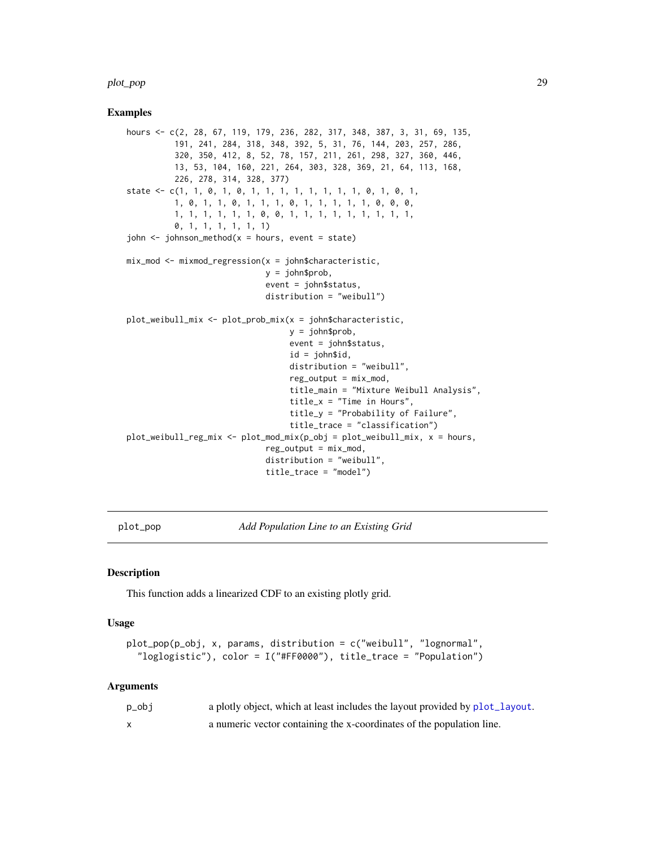#### <span id="page-28-0"></span>plot\_pop 29

#### Examples

```
hours <- c(2, 28, 67, 119, 179, 236, 282, 317, 348, 387, 3, 31, 69, 135,
          191, 241, 284, 318, 348, 392, 5, 31, 76, 144, 203, 257, 286,
          320, 350, 412, 8, 52, 78, 157, 211, 261, 298, 327, 360, 446,
          13, 53, 104, 160, 221, 264, 303, 328, 369, 21, 64, 113, 168,
          226, 278, 314, 328, 377)
state <- c(1, 1, 0, 1, 0, 1, 1, 1, 1, 1, 1, 1, 1, 0, 1, 0, 1,
          1, 0, 1, 1, 0, 1, 1, 1, 0, 1, 1, 1, 1, 1, 0, 0, 0,
          1, 1, 1, 1, 1, 1, 0, 0, 1, 1, 1, 1, 1, 1, 1, 1, 1,
          0, 1, 1, 1, 1, 1, 1)
john \leq johnson_method(x = hours, event = state)
mix\_mod \le -mixmod\_regression(x = jonn$characteristic,y = john$prob,
                             event = john$status,
                             distribution = "weibull")
plot_weibull_mix <- plot_prob_mix(x = john$characteristic,
                                  y = john$prob,
                                  event = john$status,
                                  id = john$id,
                                  distribution = "weibull",
                                  reg\_output = mix\_mod,
                                  title_main = "Mixture Weibull Analysis",
                                  title_x = "Time in Hours",
                                  title_y = "Probability of Failure",
                                  title_trace = "classification")
plot_weibull_reg_mix <- plot_mod_mix(p_obj = plot_weibull_mix, x = hours,
                             reg\_output = mix\_mod,distribution = "weibull",
                             title_trace = "model")
```
plot\_pop *Add Population Line to an Existing Grid*

#### Description

This function adds a linearized CDF to an existing plotly grid.

#### Usage

```
plot_pop(p_obj, x, params, distribution = c("weibull", "lognormal",
  "loglogistic"), color = I("#FF0000"), title_trace = "Population")
```
#### Arguments

| p_obj | a plotly object, which at least includes the layout provided by plot_layout. |
|-------|------------------------------------------------------------------------------|
|       | a numeric vector containing the x-coordinates of the population line.        |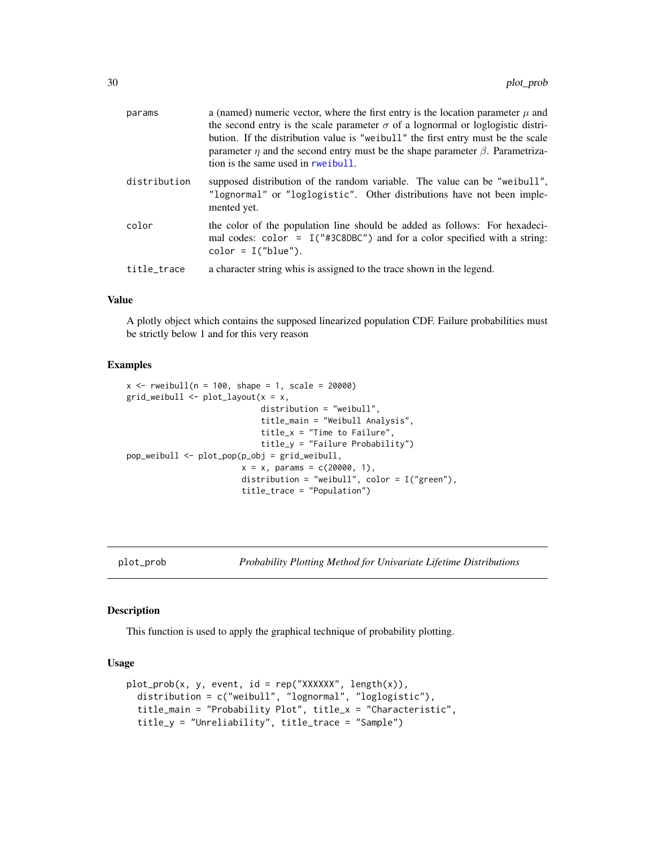<span id="page-29-0"></span>

| params       | a (named) numeric vector, where the first entry is the location parameter $\mu$ and<br>the second entry is the scale parameter $\sigma$ of a lognormal or loglogistic distri-<br>bution. If the distribution value is "weibull" the first entry must be the scale<br>parameter $\eta$ and the second entry must be the shape parameter $\beta$ . Parametriza-<br>tion is the same used in rweibull. |
|--------------|-----------------------------------------------------------------------------------------------------------------------------------------------------------------------------------------------------------------------------------------------------------------------------------------------------------------------------------------------------------------------------------------------------|
| distribution | supposed distribution of the random variable. The value can be "weibull",<br>"lognormal" or "loglogistic". Other distributions have not been imple-<br>mented yet.                                                                                                                                                                                                                                  |
| color        | the color of the population line should be added as follows: For hexadeci-<br>mal codes: $color = I("#3C8DBC")$ and for a color specified with a string:<br>$color = I("blue").$                                                                                                                                                                                                                    |
| title trace  | a character string whis is assigned to the trace shown in the legend.                                                                                                                                                                                                                                                                                                                               |

# Value

A plotly object which contains the supposed linearized population CDF. Failure probabilities must be strictly below 1 and for this very reason

# Examples

```
x <- rweibull(n = 100, shape = 1, scale = 20000)
grid<sub>weibull</sub> <- plot<sub>layout</sub>(x = x,distribution = "weibull",
                             title_main = "Weibull Analysis",
                             title_x = "Time to Failure",
                             title_y = "Failure Probability")
pop_weibull <- plot_pop(p_obj = grid_weibull,
                         x = x, params = c(20000, 1),
                         distribution = "weibull", color = I("green"),
                         title_trace = "Population")
```
<span id="page-29-1"></span>

plot\_prob *Probability Plotting Method for Univariate Lifetime Distributions*

# Description

This function is used to apply the graphical technique of probability plotting.

#### Usage

```
plot\_prob(x, y, event, id = rep("XXXXXX", length(x)),distribution = c("weibull", "lognormal", "loglogistic"),
  title_main = "Probability Plot", title_x = "Characteristic",
  title_y = "Unreliability", title_trace = "Sample")
```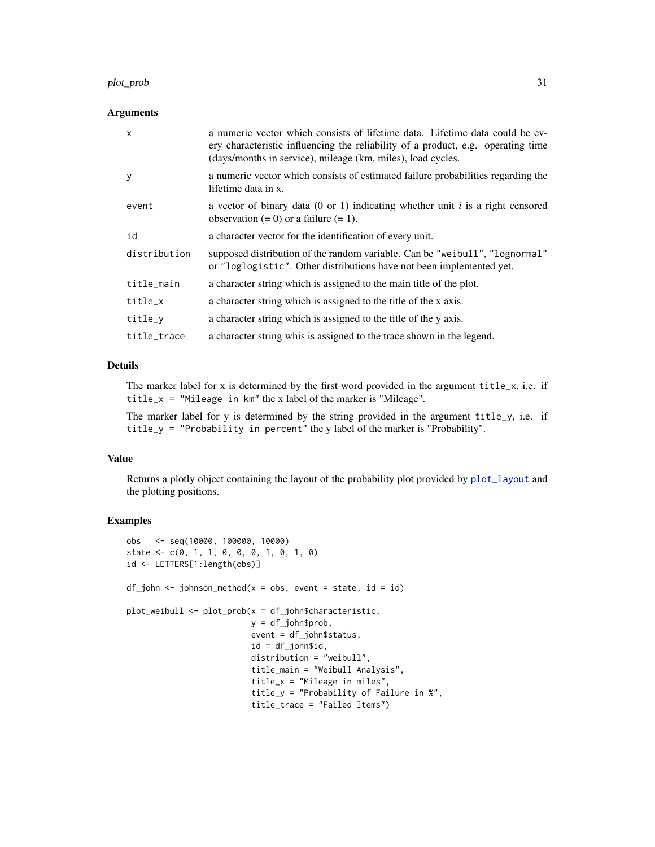#### <span id="page-30-0"></span>plot\_prob 31

#### **Arguments**

| $\mathsf{x}$ | a numeric vector which consists of lifetime data. Lifetime data could be ev-<br>ery characteristic influencing the reliability of a product, e.g. operating time<br>(days/months in service), mileage (km, miles), load cycles. |
|--------------|---------------------------------------------------------------------------------------------------------------------------------------------------------------------------------------------------------------------------------|
| y            | a numeric vector which consists of estimated failure probabilities regarding the<br>lifetime data in x.                                                                                                                         |
| event        | a vector of binary data (0 or 1) indicating whether unit i is a right censored<br>observation $(= 0)$ or a failure $(= 1)$ .                                                                                                    |
| id           | a character vector for the identification of every unit.                                                                                                                                                                        |
| distribution | supposed distribution of the random variable. Can be "weibull", "lognormal"<br>or "loglogistic". Other distributions have not been implemented yet.                                                                             |
| title_main   | a character string which is assigned to the main title of the plot.                                                                                                                                                             |
| title_x      | a character string which is assigned to the title of the x axis.                                                                                                                                                                |
| title_y      | a character string which is assigned to the title of the y axis.                                                                                                                                                                |
| title_trace  | a character string whis is assigned to the trace shown in the legend.                                                                                                                                                           |

# Details

The marker label for x is determined by the first word provided in the argument title\_x, i.e. if title\_x = "Mileage in km" the x label of the marker is "Mileage".

The marker label for y is determined by the string provided in the argument title\_y, i.e. if title\_y = "Probability in percent" the y label of the marker is "Probability".

# Value

Returns a plotly object containing the layout of the probability plot provided by [plot\\_layout](#page-25-1) and the plotting positions.

```
obs <- seq(10000, 100000, 10000)
state <- c(0, 1, 1, 0, 0, 0, 1, 0, 1, 0)
id <- LETTERS[1:length(obs)]
df_john < -johnson_method(x = obs, event = state, id = id)plot_weibull <- plot_prob(x = df_john$characteristic,
                         y = df_john$prob,
                         event = df_john$status,
                          id = df_john$id,
                         distribution = "weibull",
                         title_main = "Weibull Analysis",
                         title_x = "Mileage in miles",
                         title_y = "Probability of Failure in %",
                          title_trace = "Failed Items")
```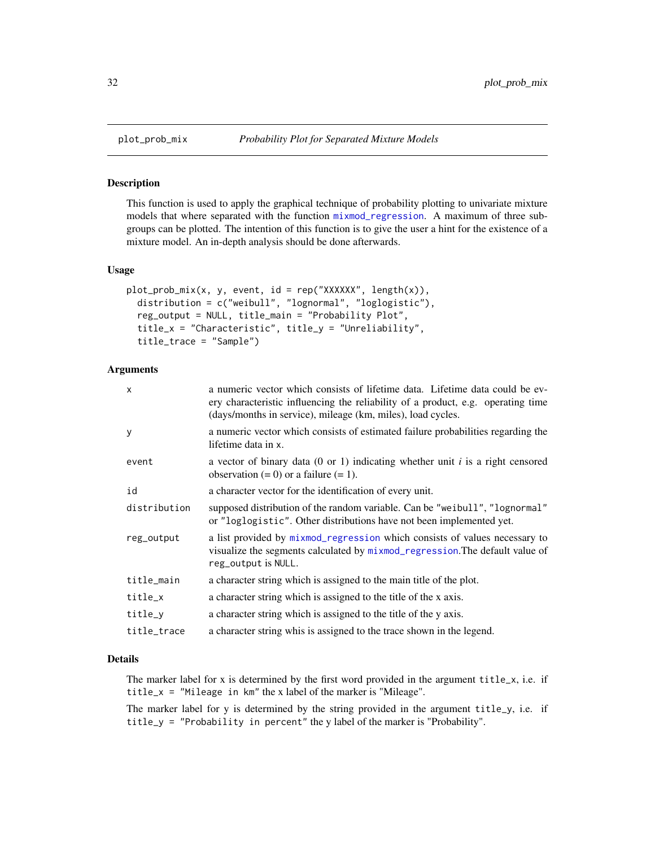#### Description

This function is used to apply the graphical technique of probability plotting to univariate mixture models that where separated with the function [mixmod\\_regression](#page-19-1). A maximum of three subgroups can be plotted. The intention of this function is to give the user a hint for the existence of a mixture model. An in-depth analysis should be done afterwards.

#### Usage

```
plot\_prob\_mix(x, y, event, id = rep("XXXXXX", length(x)),distribution = c("weibull", "lognormal", "loglogistic"),
  reg_output = NULL, title_main = "Probability Plot",
  title_x = "Characteristic", title_y = "Unreliability",
  title_trace = "Sample")
```
# Arguments

| x            | a numeric vector which consists of lifetime data. Lifetime data could be ev-<br>ery characteristic influencing the reliability of a product, e.g. operating time<br>(days/months in service), mileage (km, miles), load cycles. |
|--------------|---------------------------------------------------------------------------------------------------------------------------------------------------------------------------------------------------------------------------------|
| У            | a numeric vector which consists of estimated failure probabilities regarding the<br>lifetime data in x.                                                                                                                         |
| event        | a vector of binary data (0 or 1) indicating whether unit i is a right censored<br>observation $(= 0)$ or a failure $(= 1)$ .                                                                                                    |
| id           | a character vector for the identification of every unit.                                                                                                                                                                        |
| distribution | supposed distribution of the random variable. Can be "weibull", "lognormal"<br>or "loglogistic". Other distributions have not been implemented yet.                                                                             |
| reg_output   | a list provided by mixmod_regression which consists of values necessary to<br>visualize the segments calculated by mixmod_regression. The default value of<br>reg_output is NULL.                                               |
| title_main   | a character string which is assigned to the main title of the plot.                                                                                                                                                             |
| title_x      | a character string which is assigned to the title of the x axis.                                                                                                                                                                |
| title_y      | a character string which is assigned to the title of the y axis.                                                                                                                                                                |
| title_trace  | a character string whis is assigned to the trace shown in the legend.                                                                                                                                                           |

# Details

The marker label for x is determined by the first word provided in the argument title\_x, i.e. if title\_x = "Mileage in km" the x label of the marker is "Mileage".

The marker label for y is determined by the string provided in the argument title\_y, i.e. if title\_y = "Probability in percent" the y label of the marker is "Probability".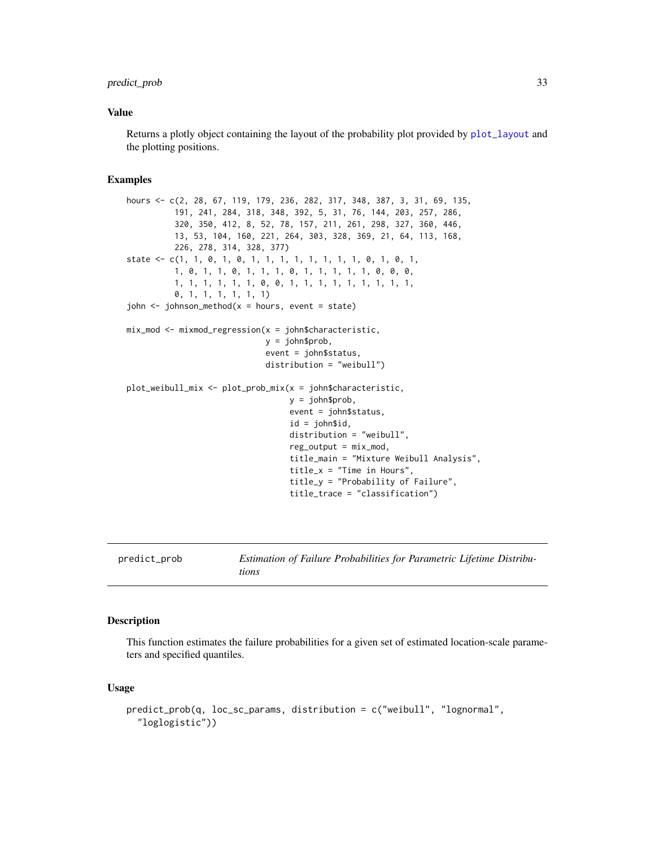# <span id="page-32-0"></span>predict\_prob 33

# Value

Returns a plotly object containing the layout of the probability plot provided by [plot\\_layout](#page-25-1) and the plotting positions.

#### Examples

```
hours <- c(2, 28, 67, 119, 179, 236, 282, 317, 348, 387, 3, 31, 69, 135,
          191, 241, 284, 318, 348, 392, 5, 31, 76, 144, 203, 257, 286,
          320, 350, 412, 8, 52, 78, 157, 211, 261, 298, 327, 360, 446,
          13, 53, 104, 160, 221, 264, 303, 328, 369, 21, 64, 113, 168,
          226, 278, 314, 328, 377)
state <- c(1, 1, 0, 1, 0, 1, 1, 1, 1, 1, 1, 1, 1, 0, 1, 0, 1,
         1, 0, 1, 1, 0, 1, 1, 1, 0, 1, 1, 1, 1, 1, 0, 0, 0,
          1, 1, 1, 1, 1, 1, 0, 0, 1, 1, 1, 1, 1, 1, 1, 1, 1,
          0, 1, 1, 1, 1, 1, 1)
john \leq johnson_method(x = hours, event = state)
mix\_mod \le -mixmod\_regression(x = john$characteristic,y = john$prob,
                             event = john$status,
                             distribution = "weibull")
plot_weibull_mix <- plot_prob_mix(x = john$characteristic,
                                  y = john$prob,
                                  event = john$status,
                                  id = john$id,
                                  distribution = "weibull",
                                  reg\_output = mix\_mod,title_main = "Mixture Weibull Analysis",
                                  title_x = "Time in Hours",
                                  title_y = "Probability of Failure",
                                  title_trace = "classification")
```
predict\_prob *Estimation of Failure Probabilities for Parametric Lifetime Distributions*

#### **Description**

This function estimates the failure probabilities for a given set of estimated location-scale parameters and specified quantiles.

#### Usage

```
predict_prob(q, loc_sc_params, distribution = c("weibull", "lognormal",
  "loglogistic"))
```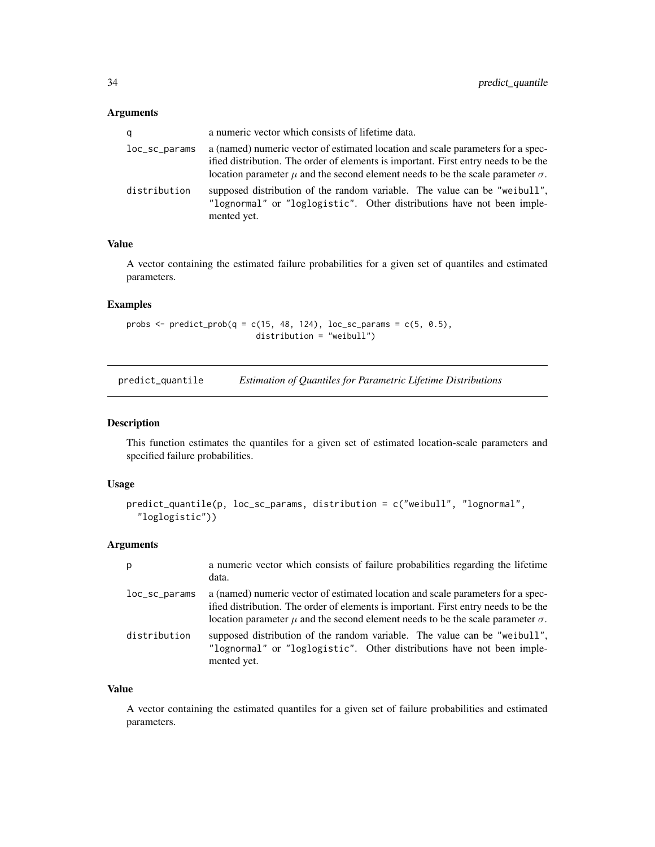# <span id="page-33-0"></span>Arguments

| q             | a numeric vector which consists of lifetime data.                                                                                                                                                                                                                    |
|---------------|----------------------------------------------------------------------------------------------------------------------------------------------------------------------------------------------------------------------------------------------------------------------|
| loc_sc_params | a (named) numeric vector of estimated location and scale parameters for a spec-<br>ified distribution. The order of elements is important. First entry needs to be the<br>location parameter $\mu$ and the second element needs to be the scale parameter $\sigma$ . |
| distribution  | supposed distribution of the random variable. The value can be "weibull",<br>"lognormal" or "loglogistic". Other distributions have not been imple-<br>mented yet.                                                                                                   |

# Value

A vector containing the estimated failure probabilities for a given set of quantiles and estimated parameters.

#### Examples

probs  $\leq$  predict\_prob(q = c(15, 48, 124), loc\_sc\_params = c(5, 0.5), distribution = "weibull")

predict\_quantile *Estimation of Quantiles for Parametric Lifetime Distributions*

# Description

This function estimates the quantiles for a given set of estimated location-scale parameters and specified failure probabilities.

#### Usage

```
predict_quantile(p, loc_sc_params, distribution = c("weibull", "lognormal",
  "loglogistic"))
```
#### Arguments

| p                 | a numeric vector which consists of failure probabilities regarding the lifetime<br>data.                                                                                                                                                                             |
|-------------------|----------------------------------------------------------------------------------------------------------------------------------------------------------------------------------------------------------------------------------------------------------------------|
| $loc\_sc\_params$ | a (named) numeric vector of estimated location and scale parameters for a spec-<br>ified distribution. The order of elements is important. First entry needs to be the<br>location parameter $\mu$ and the second element needs to be the scale parameter $\sigma$ . |
| distribution      | supposed distribution of the random variable. The value can be "weibull",<br>"lognormal" or "loglogistic". Other distributions have not been imple-<br>mented yet.                                                                                                   |

# Value

A vector containing the estimated quantiles for a given set of failure probabilities and estimated parameters.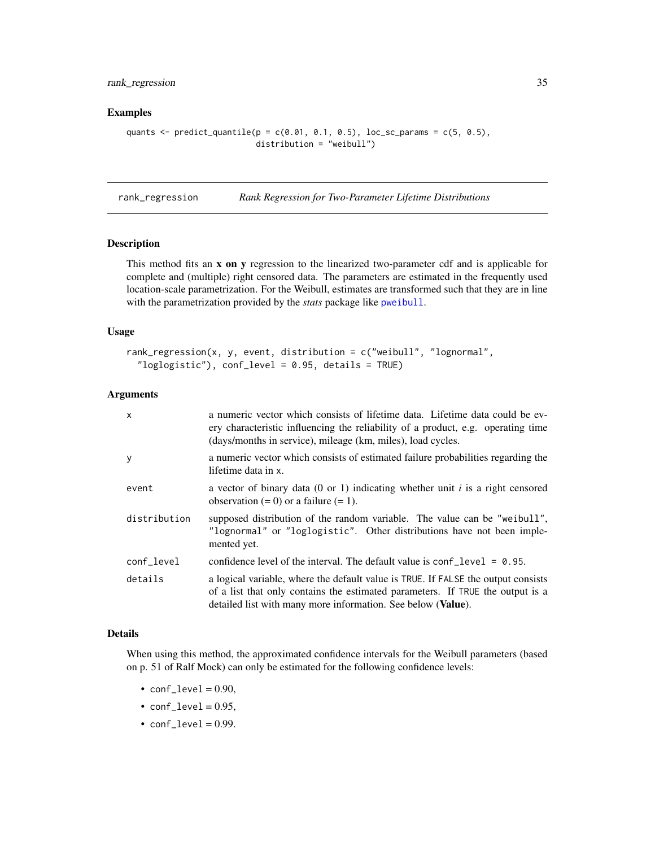# <span id="page-34-0"></span>rank\_regression 35

# Examples

```
quants \leq predict_quantile(p = c(0.01, 0.1, 0.5), loc_sc_params = c(5, 0.5),
                           distribution = "weibull")
```
<span id="page-34-1"></span>rank\_regression *Rank Regression for Two-Parameter Lifetime Distributions*

# Description

This method fits an x on y regression to the linearized two-parameter cdf and is applicable for complete and (multiple) right censored data. The parameters are estimated in the frequently used location-scale parametrization. For the Weibull, estimates are transformed such that they are in line with the parametrization provided by the *stats* package like [pweibull](#page-0-0).

#### Usage

```
rank_regression(x, y, event, distribution = c("weibull", "lognormal","loglogistic"), conf_level = 0.95, details = TRUE)
```
# Arguments

| X            | a numeric vector which consists of lifetime data. Lifetime data could be ev-<br>ery characteristic influencing the reliability of a product, e.g. operating time<br>(days/months in service), mileage (km, miles), load cycles.     |
|--------------|-------------------------------------------------------------------------------------------------------------------------------------------------------------------------------------------------------------------------------------|
| У            | a numeric vector which consists of estimated failure probabilities regarding the<br>lifetime data in x.                                                                                                                             |
| event        | a vector of binary data (0 or 1) indicating whether unit i is a right censored<br>observation $(= 0)$ or a failure $(= 1)$ .                                                                                                        |
| distribution | supposed distribution of the random variable. The value can be "weibull",<br>"lognormal" or "loglogistic". Other distributions have not been imple-<br>mented yet.                                                                  |
| conf_level   | confidence level of the interval. The default value is $\text{conf\_level} = 0.95$ .                                                                                                                                                |
| details      | a logical variable, where the default value is TRUE. If FALSE the output consists<br>of a list that only contains the estimated parameters. If TRUE the output is a<br>detailed list with many more information. See below (Value). |

#### Details

When using this method, the approximated confidence intervals for the Weibull parameters (based on p. 51 of Ralf Mock) can only be estimated for the following confidence levels:

- $conf\_level = 0.90$ ,
- $conf\_level = 0.95$ ,
- $\textdegree$  conf\_level = 0.99.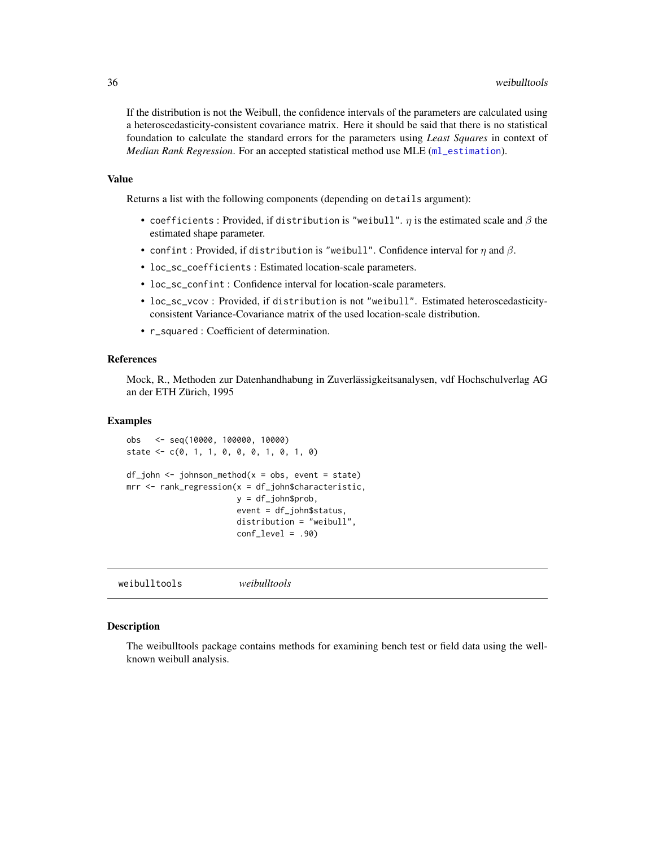<span id="page-35-0"></span>If the distribution is not the Weibull, the confidence intervals of the parameters are calculated using a heteroscedasticity-consistent covariance matrix. Here it should be said that there is no statistical foundation to calculate the standard errors for the parameters using *Least Squares* in context of *Median Rank Regression*. For an accepted statistical method use MLE ([ml\\_estimation](#page-20-1)).

#### Value

Returns a list with the following components (depending on details argument):

- coefficients : Provided, if distribution is "weibull".  $\eta$  is the estimated scale and  $\beta$  the estimated shape parameter.
- confint: Provided, if distribution is "weibull". Confidence interval for  $\eta$  and  $\beta$ .
- loc\_sc\_coefficients : Estimated location-scale parameters.
- loc\_sc\_confint : Confidence interval for location-scale parameters.
- loc\_sc\_vcov : Provided, if distribution is not "weibull". Estimated heteroscedasticityconsistent Variance-Covariance matrix of the used location-scale distribution.
- r\_squared : Coefficient of determination.

# References

Mock, R., Methoden zur Datenhandhabung in Zuverlässigkeitsanalysen, vdf Hochschulverlag AG an der ETH Zürich, 1995

#### Examples

```
obs <- seq(10000, 100000, 10000)
state <- c(0, 1, 1, 0, 0, 0, 1, 0, 1, 0)
```

```
df_john < -johnson_method(x = obs, event = state)mrr <- rank_regression(x = df_john$characteristic,
                      y = df_john$prob,
                       event = df_john$status,
                       distribution = "weibull",
                       conf\_level = .90
```

| weibulltools<br>weibulltools |
|------------------------------|
|------------------------------|

# **Description**

The weibulltools package contains methods for examining bench test or field data using the wellknown weibull analysis.